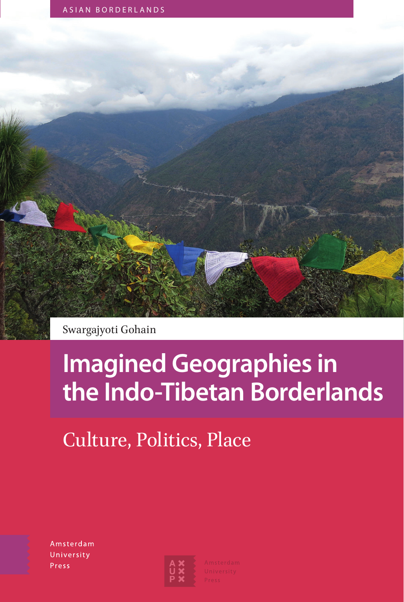



Swargajyoti Gohain

# **Imagined Geographies in the Indo-Tibetan Borderlands**

Culture, Politics, Place

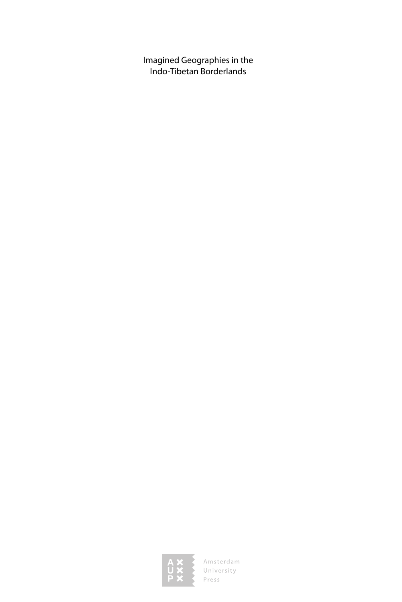Imagined Geographies in the Indo-Tibetan Borderlands

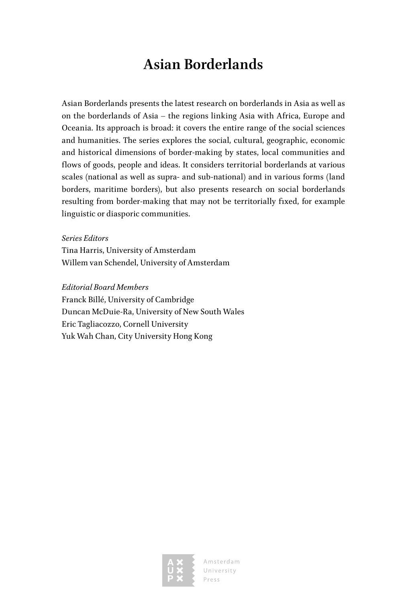## **Asian Borderlands**

Asian Borderlands presents the latest research on borderlands in Asia as well as on the borderlands of Asia – the regions linking Asia with Africa, Europe and Oceania. Its approach is broad: it covers the entire range of the social sciences and humanities. The series explores the social, cultural, geographic, economic and historical dimensions of border-making by states, local communities and flows of goods, people and ideas. It considers territorial borderlands at various scales (national as well as supra- and sub-national) and in various forms (land borders, maritime borders), but also presents research on social borderlands resulting from border-making that may not be territorially fixed, for example linguistic or diasporic communities.

*Series Editors* Tina Harris, University of Amsterdam Willem van Schendel, University of Amsterdam

*Editorial Board Members*

Franck Billé, University of Cambridge Duncan McDuie-Ra, University of New South Wales Eric Tagliacozzo, Cornell University Yuk Wah Chan, City University Hong Kong

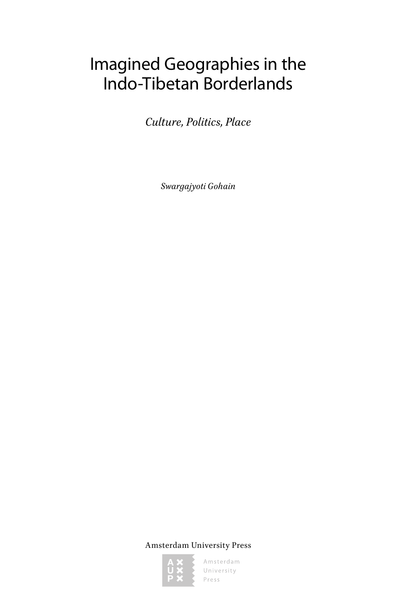# Imagined Geographies in the Indo-Tibetan Borderlands

*Culture, Politics, Place*

*Swargajyoti Gohain*

Amsterdam University Press

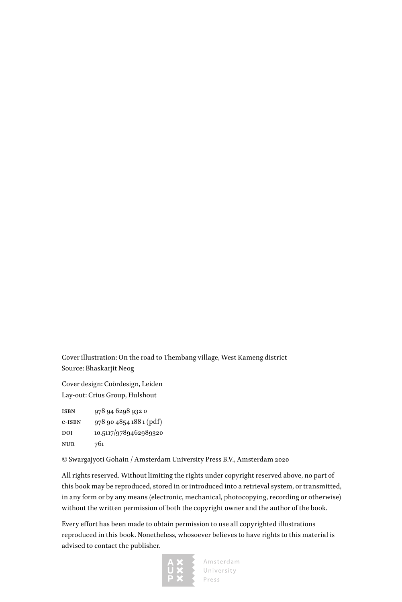Cover illustration: On the road to Thembang village, West Kameng district Source: Bhaskarjit Neog

Cover design: Coördesign, Leiden Lay-out: Crius Group, Hulshout

isbn 978 94 6298 932 0 e-isbn 978 90 4854 188 1 (pdf) DOI 10.5117/9789462989320 nur 761

© Swargajyoti Gohain / Amsterdam University Press B.V., Amsterdam 2020

All rights reserved. Without limiting the rights under copyright reserved above, no part of this book may be reproduced, stored in or introduced into a retrieval system, or transmitted, in any form or by any means (electronic, mechanical, photocopying, recording or otherwise) without the written permission of both the copyright owner and the author of the book.

Every effort has been made to obtain permission to use all copyrighted illustrations reproduced in this book. Nonetheless, whosoever believes to have rights to this material is advised to contact the publisher.

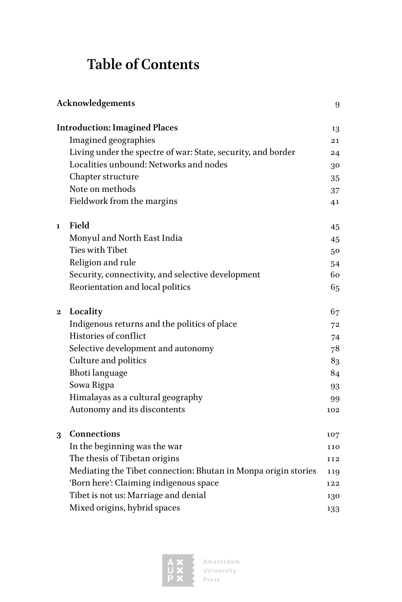# **Table of Contents**

| Acknowledgements                     |                                                                |         |
|--------------------------------------|----------------------------------------------------------------|---------|
| <b>Introduction: Imagined Places</b> |                                                                |         |
|                                      | Imagined geographies                                           | $^{21}$ |
|                                      | Living under the spectre of war: State, security, and border   | 24      |
|                                      | Localities unbound: Networks and nodes                         | 30      |
|                                      | Chapter structure                                              | 35      |
|                                      | Note on methods                                                | 37      |
|                                      | Fieldwork from the margins                                     | 41      |
| $\mathbf{1}$                         | Field                                                          | 45      |
|                                      | Monyul and North East India                                    | 45      |
|                                      | <b>Ties with Tibet</b>                                         | 50      |
|                                      | Religion and rule                                              | 54      |
|                                      | Security, connectivity, and selective development              | 60      |
|                                      | Reorientation and local politics                               | 65      |
| $\bf{2}$                             | Locality                                                       | 67      |
|                                      | Indigenous returns and the politics of place                   | 72      |
|                                      | Histories of conflict                                          | 74      |
|                                      | Selective development and autonomy                             | 78      |
|                                      | Culture and politics                                           | 83      |
|                                      | <b>Bhoti</b> language                                          | 84      |
|                                      | Sowa Rigpa                                                     | 93      |
|                                      | Himalayas as a cultural geography                              | 99      |
|                                      | Autonomy and its discontents                                   | 102     |
| 3                                    | <b>Connections</b>                                             | 107     |
|                                      | In the beginning was the war                                   | 110     |
|                                      | The thesis of Tibetan origins                                  | 112     |
|                                      | Mediating the Tibet connection: Bhutan in Monpa origin stories | 119     |
|                                      | 'Born here': Claiming indigenous space                         | 122     |
|                                      | Tibet is not us: Marriage and denial                           | 130     |
|                                      | Mixed origins, hybrid spaces                                   | 133     |

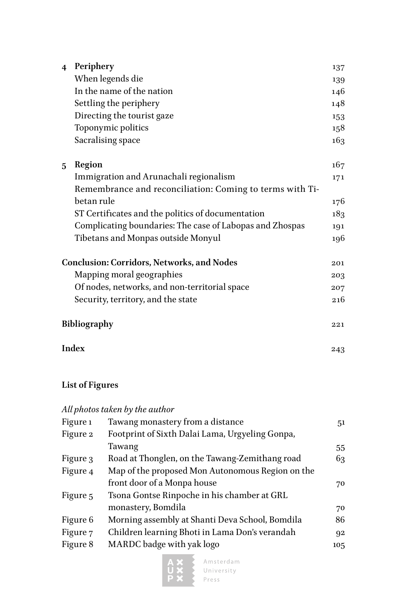| $\overline{\mathbf{4}}$ | Periphery                                                | 137 |
|-------------------------|----------------------------------------------------------|-----|
|                         | When legends die                                         | 139 |
|                         | In the name of the nation                                | 146 |
|                         | Settling the periphery                                   | 148 |
|                         | Directing the tourist gaze                               | 153 |
|                         | Toponymic politics                                       | 158 |
|                         | Sacralising space                                        | 163 |
| 5                       | Region                                                   | 167 |
|                         | Immigration and Arunachali regionalism                   | 171 |
|                         | Remembrance and reconciliation: Coming to terms with Ti- |     |
|                         | betan rule                                               | 176 |
|                         | ST Certificates and the politics of documentation        | 183 |
|                         | Complicating boundaries: The case of Labopas and Zhospas | 191 |
|                         | Tibetans and Monpas outside Monyul                       | 196 |
|                         | <b>Conclusion: Corridors, Networks, and Nodes</b>        | 201 |
|                         | Mapping moral geographies                                | 203 |
|                         | Of nodes, networks, and non-territorial space            | 207 |
|                         | Security, territory, and the state                       | 216 |
|                         | <b>Bibliography</b>                                      |     |
|                         | Index                                                    | 243 |
|                         |                                                          |     |

### **List of Figures**

### *All photos taken by the author*

| Tawang monastery from a distance                 | 51  |
|--------------------------------------------------|-----|
| Footprint of Sixth Dalai Lama, Urgyeling Gonpa,  |     |
| Tawang                                           | 55  |
| Road at Thonglen, on the Tawang-Zemithang road   | 63  |
| Map of the proposed Mon Autonomous Region on the |     |
| front door of a Monpa house                      | 70  |
| Tsona Gontse Rinpoche in his chamber at GRL      |     |
| monastery, Bomdila                               | 70  |
| Morning assembly at Shanti Deva School, Bomdila  | 86  |
| Children learning Bhoti in Lama Don's verandah   | 92  |
| MARDC badge with yak logo                        | 105 |
|                                                  |     |

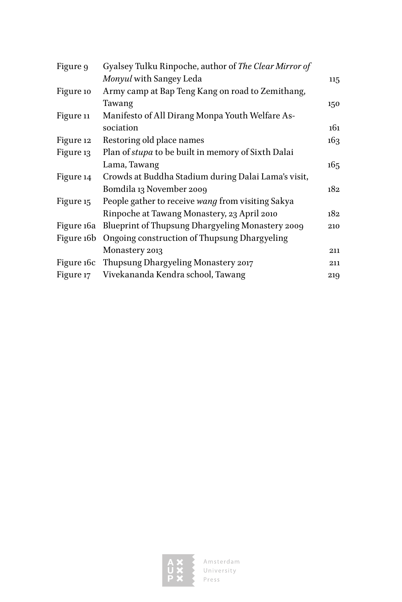| Figure 9   | Gyalsey Tulku Rinpoche, author of The Clear Mirror of |     |
|------------|-------------------------------------------------------|-----|
|            | Monyul with Sangey Leda                               | 115 |
| Figure 10  | Army camp at Bap Teng Kang on road to Zemithang,      |     |
|            | Tawang                                                | 150 |
| Figure 11  | Manifesto of All Dirang Monpa Youth Welfare As-       |     |
|            | sociation                                             | 161 |
| Figure 12  | Restoring old place names                             | 163 |
| Figure 13  | Plan of stupa to be built in memory of Sixth Dalai    |     |
|            | Lama, Tawang                                          | 165 |
| Figure 14  | Crowds at Buddha Stadium during Dalai Lama's visit,   |     |
|            | Bomdila 13 November 2009                              | 182 |
| Figure 15  | People gather to receive wang from visiting Sakya     |     |
|            | Rinpoche at Tawang Monastery, 23 April 2010           | 182 |
| Figure 16a | Blueprint of Thupsung Dhargyeling Monastery 2009      | 210 |
| Figure 16b | Ongoing construction of Thupsung Dhargyeling          |     |
|            | Monastery 2013                                        | 211 |
|            | Figure 16c Thupsung Dhargyeling Monastery 2017        | 211 |
| Figure 17  | Vivekananda Kendra school, Tawang                     | 219 |

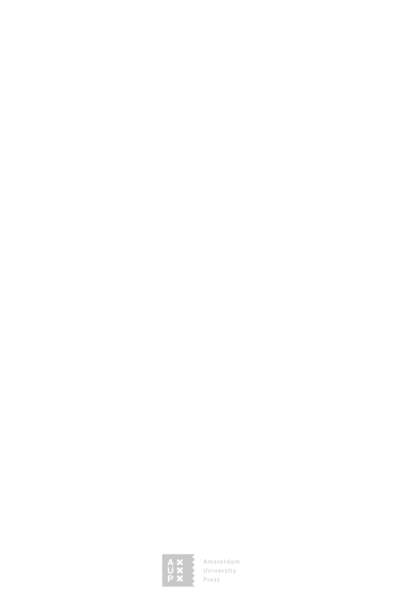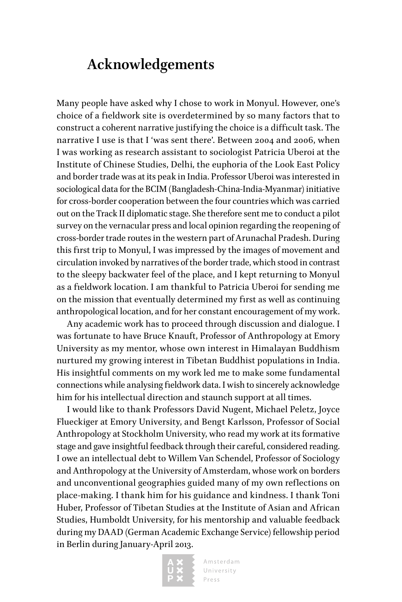### <span id="page-9-0"></span>**Acknowledgements**

Many people have asked why I chose to work in Monyul. However, one's choice of a fieldwork site is overdetermined by so many factors that to construct a coherent narrative justifying the choice is a difficult task. The narrative I use is that I 'was sent there'. Between 2004 and 2006, when I was working as research assistant to sociologist Patricia Uberoi at the Institute of Chinese Studies, Delhi, the euphoria of the Look East Policy and border trade was at its peak in India. Professor Uberoi was interested in sociological data for the BCIM (Bangladesh-China-India-Myanmar) initiative for cross-border cooperation between the four countries which was carried out on the Track II diplomatic stage. She therefore sent me to conduct a pilot survey on the vernacular press and local opinion regarding the reopening of cross-border trade routes in the western part of Arunachal Pradesh. During this first trip to Monyul, I was impressed by the images of movement and circulation invoked by narratives of the border trade, which stood in contrast to the sleepy backwater feel of the place, and I kept returning to Monyul as a fieldwork location. I am thankful to Patricia Uberoi for sending me on the mission that eventually determined my first as well as continuing anthropological location, and for her constant encouragement of my work.

Any academic work has to proceed through discussion and dialogue. I was fortunate to have Bruce Knauft, Professor of Anthropology at Emory University as my mentor, whose own interest in Himalayan Buddhism nurtured my growing interest in Tibetan Buddhist populations in India. His insightful comments on my work led me to make some fundamental connections while analysing fieldwork data. I wish to sincerely acknowledge him for his intellectual direction and staunch support at all times.

I would like to thank Professors David Nugent, Michael Peletz, Joyce Flueckiger at Emory University, and Bengt Karlsson, Professor of Social Anthropology at Stockholm University, who read my work at its formative stage and gave insightful feedback through their careful, considered reading. I owe an intellectual debt to Willem Van Schendel, Professor of Sociology and Anthropology at the University of Amsterdam, whose work on borders and unconventional geographies guided many of my own reflections on place-making. I thank him for his guidance and kindness. I thank Toni Huber, Professor of Tibetan Studies at the Institute of Asian and African Studies, Humboldt University, for his mentorship and valuable feedback during my DAAD (German Academic Exchange Service) fellowship period in Berlin during January-April 2013.

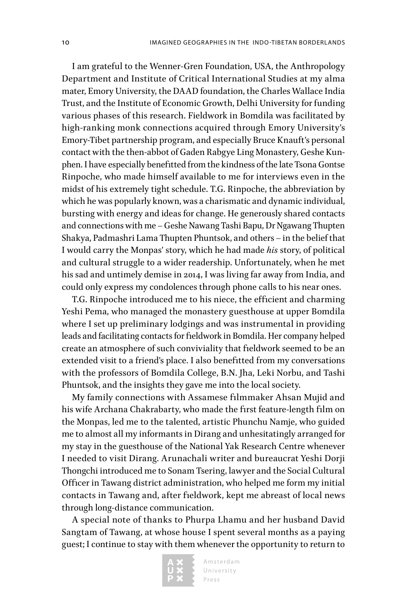I am grateful to the Wenner-Gren Foundation, USA, the Anthropology Department and Institute of Critical International Studies at my alma mater, Emory University, the DAAD foundation, the Charles Wallace India Trust, and the Institute of Economic Growth, Delhi University for funding various phases of this research. Fieldwork in Bomdila was facilitated by high-ranking monk connections acquired through Emory University's Emory-Tibet partnership program, and especially Bruce Knauft's personal contact with the then-abbot of Gaden Rabgye Ling Monastery, Geshe Kunphen. I have especially benefitted from the kindness of the late Tsona Gontse Rinpoche, who made himself available to me for interviews even in the midst of his extremely tight schedule. T.G. Rinpoche, the abbreviation by which he was popularly known, was a charismatic and dynamic individual, bursting with energy and ideas for change. He generously shared contacts and connections with me – Geshe Nawang Tashi Bapu, Dr Ngawang Thupten Shakya, Padmashri Lama Thupten Phuntsok, and others – in the belief that I would carry the Monpas' story, which he had made *his* story, of political and cultural struggle to a wider readership. Unfortunately, when he met his sad and untimely demise in 2014, I was living far away from India, and could only express my condolences through phone calls to his near ones.

T.G. Rinpoche introduced me to his niece, the efficient and charming Yeshi Pema, who managed the monastery guesthouse at upper Bomdila where I set up preliminary lodgings and was instrumental in providing leads and facilitating contacts for fieldwork in Bomdila. Her company helped create an atmosphere of such conviviality that fieldwork seemed to be an extended visit to a friend's place. I also benefitted from my conversations with the professors of Bomdila College, B.N. Jha, Leki Norbu, and Tashi Phuntsok, and the insights they gave me into the local society.

My family connections with Assamese filmmaker Ahsan Mujid and his wife Archana Chakrabarty, who made the first feature-length film on the Monpas, led me to the talented, artistic Phunchu Namje, who guided me to almost all my informants in Dirang and unhesitatingly arranged for my stay in the guesthouse of the National Yak Research Centre whenever I needed to visit Dirang. Arunachali writer and bureaucrat Yeshi Dorji Thongchi introduced me to Sonam Tsering, lawyer and the Social Cultural Officer in Tawang district administration, who helped me form my initial contacts in Tawang and, after fieldwork, kept me abreast of local news through long-distance communication.

A special note of thanks to Phurpa Lhamu and her husband David Sangtam of Tawang, at whose house I spent several months as a paying guest; I continue to stay with them whenever the opportunity to return to

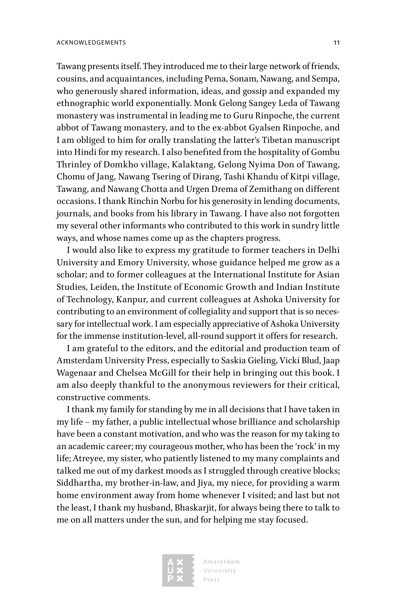Tawang presents itself. They introduced me to their large network of friends, cousins, and acquaintances, including Pema, Sonam, Nawang, and Sempa, who generously shared information, ideas, and gossip and expanded my ethnographic world exponentially. Monk Gelong Sangey Leda of Tawang monastery was instrumental in leading me to Guru Rinpoche, the current abbot of Tawang monastery, and to the ex-abbot Gyalsen Rinpoche, and I am obliged to him for orally translating the latter's Tibetan manuscript into Hindi for my research. I also benefited from the hospitality of Gombu Thrinley of Domkho village, Kalaktang, Gelong Nyima Don of Tawang, Chomu of Jang, Nawang Tsering of Dirang, Tashi Khandu of Kitpi village, Tawang, and Nawang Chotta and Urgen Drema of Zemithang on different occasions. I thank Rinchin Norbu for his generosity in lending documents, journals, and books from his library in Tawang. I have also not forgotten my several other informants who contributed to this work in sundry little ways, and whose names come up as the chapters progress.

I would also like to express my gratitude to former teachers in Delhi University and Emory University, whose guidance helped me grow as a scholar; and to former colleagues at the International Institute for Asian Studies, Leiden, the Institute of Economic Growth and Indian Institute of Technology, Kanpur, and current colleagues at Ashoka University for contributing to an environment of collegiality and support that is so necessary for intellectual work. I am especially appreciative of Ashoka University for the immense institution-level, all-round support it offers for research.

I am grateful to the editors, and the editorial and production team of Amsterdam University Press, especially to Saskia Gieling, Vicki Blud, Jaap Wagenaar and Chelsea McGill for their help in bringing out this book. I am also deeply thankful to the anonymous reviewers for their critical, constructive comments.

I thank my family for standing by me in all decisions that I have taken in my life – my father, a public intellectual whose brilliance and scholarship have been a constant motivation, and who was the reason for my taking to an academic career; my courageous mother, who has been the 'rock' in my life; Atreyee, my sister, who patiently listened to my many complaints and talked me out of my darkest moods as I struggled through creative blocks; Siddhartha, my brother-in-law, and Jiya, my niece, for providing a warm home environment away from home whenever I visited; and last but not the least, I thank my husband, Bhaskarjit, for always being there to talk to me on all matters under the sun, and for helping me stay focused.

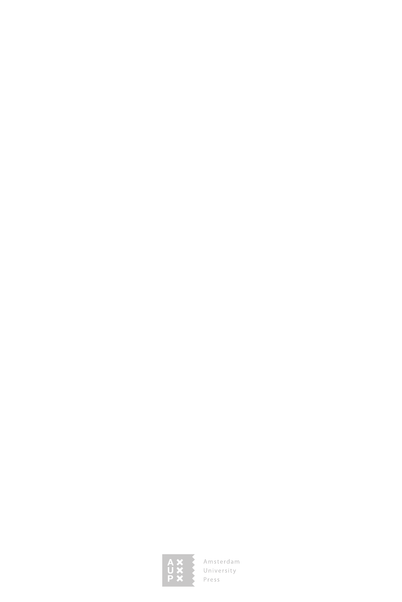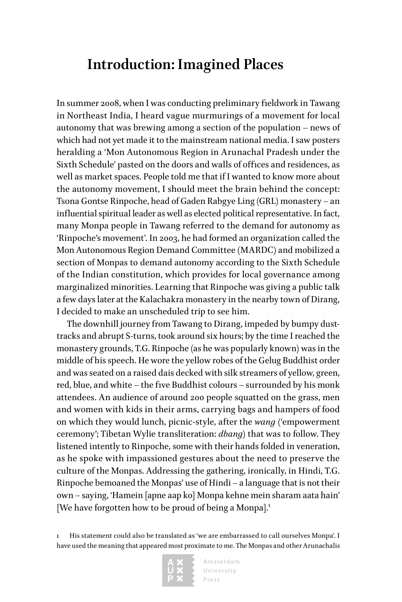### <span id="page-13-0"></span>**Introduction: Imagined Places**

In summer 2008, when I was conducting preliminary fieldwork in Tawang in Northeast India, I heard vague murmurings of a movement for local autonomy that was brewing among a section of the population – news of which had not yet made it to the mainstream national media. I saw posters heralding a 'Mon Autonomous Region in Arunachal Pradesh under the Sixth Schedule' pasted on the doors and walls of offices and residences, as well as market spaces. People told me that if I wanted to know more about the autonomy movement, I should meet the brain behind the concept: Tsona Gontse Rinpoche, head of Gaden Rabgye Ling (GRL) monastery – an influential spiritual leader as well as elected political representative. In fact, many Monpa people in Tawang referred to the demand for autonomy as 'Rinpoche's movement'. In 2003, he had formed an organization called the Mon Autonomous Region Demand Committee (MARDC) and mobilized a section of Monpas to demand autonomy according to the Sixth Schedule of the Indian constitution, which provides for local governance among marginalized minorities. Learning that Rinpoche was giving a public talk a few days later at the Kalachakra monastery in the nearby town of Dirang, I decided to make an unscheduled trip to see him.

The downhill journey from Tawang to Dirang, impeded by bumpy dusttracks and abrupt S-turns, took around six hours; by the time I reached the monastery grounds, T.G. Rinpoche (as he was popularly known) was in the middle of his speech. He wore the yellow robes of the Gelug Buddhist order and was seated on a raised dais decked with silk streamers of yellow, green, red, blue, and white – the five Buddhist colours – surrounded by his monk attendees. An audience of around 200 people squatted on the grass, men and women with kids in their arms, carrying bags and hampers of food on which they would lunch, picnic-style, after the *wang* ('empowerment ceremony'; Tibetan Wylie transliteration: *dbang*) that was to follow. They listened intently to Rinpoche, some with their hands folded in veneration, as he spoke with impassioned gestures about the need to preserve the culture of the Monpas. Addressing the gathering, ironically, in Hindi, T.G. Rinpoche bemoaned the Monpas' use of Hindi – a language that is not their own – saying, 'Hamein [apne aap ko] Monpa kehne mein sharam aata hain' [We have forgotten how to be proud of being a Monpa].<sup>1</sup>

1 His statement could also be translated as 'we are embarrassed to call ourselves Monpa'. I have used the meaning that appeared most proximate to me. The Monpas and other Arunachalis

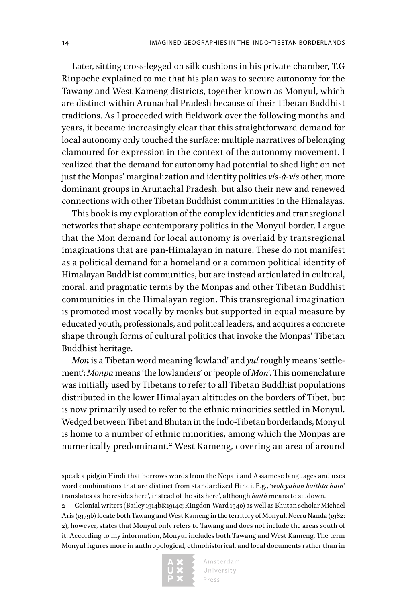Later, sitting cross-legged on silk cushions in his private chamber, T.G Rinpoche explained to me that his plan was to secure autonomy for the Tawang and West Kameng districts, together known as Monyul, which are distinct within Arunachal Pradesh because of their Tibetan Buddhist traditions. As I proceeded with fieldwork over the following months and years, it became increasingly clear that this straightforward demand for local autonomy only touched the surface: multiple narratives of belonging clamoured for expression in the context of the autonomy movement. I realized that the demand for autonomy had potential to shed light on not just the Monpas' marginalization and identity politics *vis-à-vis* other, more dominant groups in Arunachal Pradesh, but also their new and renewed connections with other Tibetan Buddhist communities in the Himalayas.

This book is my exploration of the complex identities and transregional networks that shape contemporary politics in the Monyul border. I argue that the Mon demand for local autonomy is overlaid by transregional imaginations that are pan-Himalayan in nature. These do not manifest as a political demand for a homeland or a common political identity of Himalayan Buddhist communities, but are instead articulated in cultural, moral, and pragmatic terms by the Monpas and other Tibetan Buddhist communities in the Himalayan region. This transregional imagination is promoted most vocally by monks but supported in equal measure by educated youth, professionals, and political leaders, and acquires a concrete shape through forms of cultural politics that invoke the Monpas' Tibetan Buddhist heritage.

*Mon* is a Tibetan word meaning 'lowland' and *yul* roughly means 'settlement'; *Monpa* means 'the lowlanders' or 'people of *Mon*'. This nomenclature was initially used by Tibetans to refer to all Tibetan Buddhist populations distributed in the lower Himalayan altitudes on the borders of Tibet, but is now primarily used to refer to the ethnic minorities settled in Monyul. Wedged between Tibet and Bhutan in the Indo-Tibetan borderlands, Monyul is home to a number of ethnic minorities, among which the Monpas are numerically predominant.<sup>2</sup> West Kameng, covering an area of around

speak a pidgin Hindi that borrows words from the Nepali and Assamese languages and uses word combinations that are distinct from standardized Hindi. E.g., '*woh yahan baithta hain*' translates as 'he resides here', instead of 'he sits here', although *baith* means to sit down.

2 Colonial writers (Bailey 1914b&1914c; Kingdon-Ward 1940) as well as Bhutan scholar Michael Aris (1979b) locate both Tawang and West Kameng in the territory of Monyul. Neeru Nanda (1982: 2), however, states that Monyul only refers to Tawang and does not include the areas south of it. According to my information, Monyul includes both Tawang and West Kameng. The term Monyul figures more in anthropological, ethnohistorical, and local documents rather than in

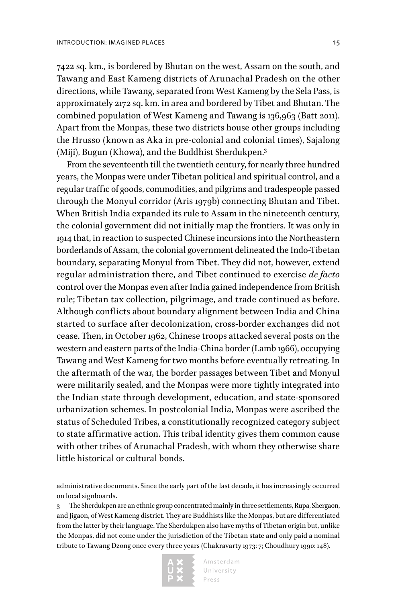7422 sq. km., is bordered by Bhutan on the west, Assam on the south, and Tawang and East Kameng districts of Arunachal Pradesh on the other directions, while Tawang, separated from West Kameng by the Sela Pass, is approximately 2172 sq. km. in area and bordered by Tibet and Bhutan. The combined population of West Kameng and Tawang is 136,963 (Batt 2011). Apart from the Monpas, these two districts house other groups including the Hrusso (known as Aka in pre-colonial and colonial times), Sajalong (Miji), Bugun (Khowa), and the Buddhist Sherdukpen.3

From the seventeenth till the twentieth century, for nearly three hundred years, the Monpas were under Tibetan political and spiritual control, and a regular traffic of goods, commodities, and pilgrims and tradespeople passed through the Monyul corridor (Aris 1979b) connecting Bhutan and Tibet. When British India expanded its rule to Assam in the nineteenth century, the colonial government did not initially map the frontiers. It was only in 1914 that, in reaction to suspected Chinese incursions into the Northeastern borderlands of Assam, the colonial government delineated the Indo-Tibetan boundary, separating Monyul from Tibet. They did not, however, extend regular administration there, and Tibet continued to exercise *de facto* control over the Monpas even after India gained independence from British rule; Tibetan tax collection, pilgrimage, and trade continued as before. Although conflicts about boundary alignment between India and China started to surface after decolonization, cross-border exchanges did not cease. Then, in October 1962, Chinese troops attacked several posts on the western and eastern parts of the India-China border (Lamb 1966), occupying Tawang and West Kameng for two months before eventually retreating. In the aftermath of the war, the border passages between Tibet and Monyul were militarily sealed, and the Monpas were more tightly integrated into the Indian state through development, education, and state-sponsored urbanization schemes. In postcolonial India, Monpas were ascribed the status of Scheduled Tribes, a constitutionally recognized category subject to state affirmative action. This tribal identity gives them common cause with other tribes of Arunachal Pradesh, with whom they otherwise share little historical or cultural bonds.

administrative documents. Since the early part of the last decade, it has increasingly occurred on local signboards.

3 The Sherdukpen are an ethnic group concentrated mainly in three settlements, Rupa, Shergaon, and Jigaon, of West Kameng district. They are Buddhists like the Monpas, but are differentiated from the latter by their language. The Sherdukpen also have myths of Tibetan origin but, unlike the Monpas, did not come under the jurisdiction of the Tibetan state and only paid a nominal tribute to Tawang Dzong once every three years (Chakravarty 1973: 7; Choudhury 1990: 148).

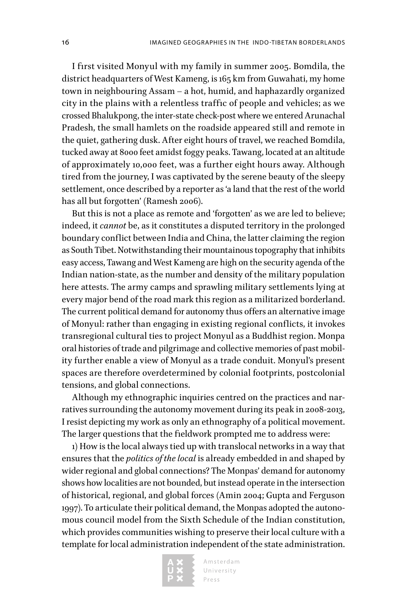I first visited Monyul with my family in summer 2005. Bomdila, the district headquarters of West Kameng, is 165 km from Guwahati, my home town in neighbouring Assam – a hot, humid, and haphazardly organized city in the plains with a relentless traffic of people and vehicles; as we crossed Bhalukpong, the inter-state check-post where we entered Arunachal Pradesh, the small hamlets on the roadside appeared still and remote in the quiet, gathering dusk. After eight hours of travel, we reached Bomdila, tucked away at 8000 feet amidst foggy peaks. Tawang, located at an altitude of approximately 10,000 feet, was a further eight hours away. Although tired from the journey, I was captivated by the serene beauty of the sleepy settlement, once described by a reporter as 'a land that the rest of the world has all but forgotten' (Ramesh 2006).

But this is not a place as remote and 'forgotten' as we are led to believe; indeed, it *cannot* be, as it constitutes a disputed territory in the prolonged boundary conflict between India and China, the latter claiming the region as South Tibet. Notwithstanding their mountainous topography that inhibits easy access, Tawang and West Kameng are high on the security agenda of the Indian nation-state, as the number and density of the military population here attests. The army camps and sprawling military settlements lying at every major bend of the road mark this region as a militarized borderland. The current political demand for autonomy thus offers an alternative image of Monyul: rather than engaging in existing regional conflicts, it invokes transregional cultural ties to project Monyul as a Buddhist region. Monpa oral histories of trade and pilgrimage and collective memories of past mobility further enable a view of Monyul as a trade conduit. Monyul's present spaces are therefore overdetermined by colonial footprints, postcolonial tensions, and global connections.

Although my ethnographic inquiries centred on the practices and narratives surrounding the autonomy movement during its peak in 2008-2013, I resist depicting my work as only an ethnography of a political movement. The larger questions that the fieldwork prompted me to address were:

1) How is the local always tied up with translocal networks in a way that ensures that the *politics of the local* is already embedded in and shaped by wider regional and global connections? The Monpas' demand for autonomy shows how localities are not bounded, but instead operate in the intersection of historical, regional, and global forces (Amin 2004; Gupta and Ferguson 1997). To articulate their political demand, the Monpas adopted the autonomous council model from the Sixth Schedule of the Indian constitution, which provides communities wishing to preserve their local culture with a template for local administration independent of the state administration.

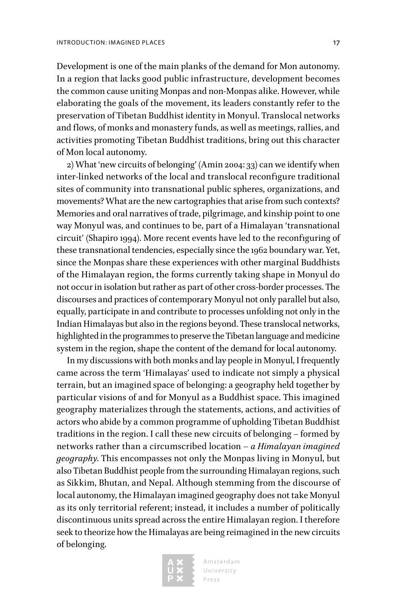Development is one of the main planks of the demand for Mon autonomy. In a region that lacks good public infrastructure, development becomes the common cause uniting Monpas and non-Monpas alike. However, while elaborating the goals of the movement, its leaders constantly refer to the preservation of Tibetan Buddhist identity in Monyul. Translocal networks and flows, of monks and monastery funds, as well as meetings, rallies, and activities promoting Tibetan Buddhist traditions, bring out this character of Mon local autonomy.

2) What 'new circuits of belonging' (Amin 2004: 33) can we identify when inter-linked networks of the local and translocal reconfigure traditional sites of community into transnational public spheres, organizations, and movements? What are the new cartographies that arise from such contexts? Memories and oral narratives of trade, pilgrimage, and kinship point to one way Monyul was, and continues to be, part of a Himalayan 'transnational circuit' (Shapiro 1994). More recent events have led to the reconfiguring of these transnational tendencies, especially since the 1962 boundary war. Yet, since the Monpas share these experiences with other marginal Buddhists of the Himalayan region, the forms currently taking shape in Monyul do not occur in isolation but rather as part of other cross-border processes. The discourses and practices of contemporary Monyul not only parallel but also, equally, participate in and contribute to processes unfolding not only in the Indian Himalayas but also in the regions beyond. These translocal networks, highlighted in the programmes to preserve the Tibetan language and medicine system in the region, shape the content of the demand for local autonomy.

In my discussions with both monks and lay people in Monyul, I frequently came across the term 'Himalayas' used to indicate not simply a physical terrain, but an imagined space of belonging: a geography held together by particular visions of and for Monyul as a Buddhist space. This imagined geography materializes through the statements, actions, and activities of actors who abide by a common programme of upholding Tibetan Buddhist traditions in the region. I call these new circuits of belonging – formed by networks rather than a circumscribed location – *a Himalayan imagined geography*. This encompasses not only the Monpas living in Monyul, but also Tibetan Buddhist people from the surrounding Himalayan regions, such as Sikkim, Bhutan, and Nepal. Although stemming from the discourse of local autonomy, the Himalayan imagined geography does not take Monyul as its only territorial referent; instead, it includes a number of politically discontinuous units spread across the entire Himalayan region. I therefore seek to theorize how the Himalayas are being reimagined in the new circuits of belonging.

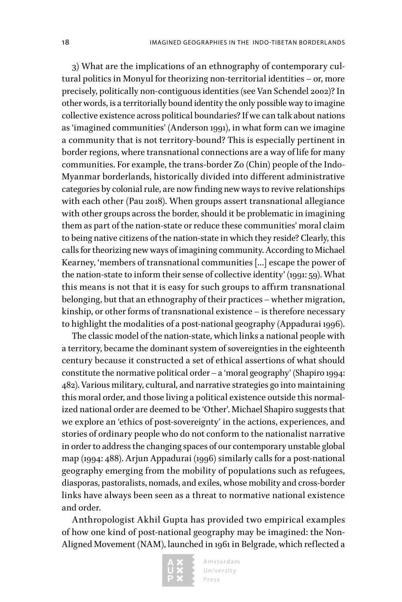3) What are the implications of an ethnography of contemporary cultural politics in Monyul for theorizing non-territorial identities – or, more precisely, politically non-contiguous identities (see Van Schendel 2002)? In other words, is a territorially bound identity the only possible way to imagine collective existence across political boundaries? If we can talk about nations as 'imagined communities' (Anderson 1991), in what form can we imagine a community that is not territory-bound? This is especially pertinent in border regions, where transnational connections are a way of life for many communities. For example, the trans-border Zo (Chin) people of the Indo-Myanmar borderlands, historically divided into different administrative categories by colonial rule, are now finding new ways to revive relationships with each other (Pau 2018). When groups assert transnational allegiance with other groups across the border, should it be problematic in imagining them as part of the nation-state or reduce these communities' moral claim to being native citizens of the nation-state in which they reside? Clearly, this calls for theorizing new ways of imagining community. According to Michael Kearney, 'members of transnational communities […] escape the power of the nation-state to inform their sense of collective identity' (1991: 59). What this means is not that it is easy for such groups to affirm transnational belonging, but that an ethnography of their practices – whether migration, kinship, or other forms of transnational existence – is therefore necessary to highlight the modalities of a post-national geography (Appadurai 1996).

The classic model of the nation-state, which links a national people with a territory, became the dominant system of sovereignties in the eighteenth century because it constructed a set of ethical assertions of what should constitute the normative political order – a 'moral geography' (Shapiro 1994: 482). Various military, cultural, and narrative strategies go into maintaining this moral order, and those living a political existence outside this normalized national order are deemed to be 'Other'. Michael Shapiro suggests that we explore an 'ethics of post-sovereignty' in the actions, experiences, and stories of ordinary people who do not conform to the nationalist narrative in order to address the changing spaces of our contemporary unstable global map (1994: 488). Arjun Appadurai (1996) similarly calls for a post-national geography emerging from the mobility of populations such as refugees, diasporas, pastoralists, nomads, and exiles, whose mobility and cross-border links have always been seen as a threat to normative national existence and order.

Anthropologist Akhil Gupta has provided two empirical examples of how one kind of post-national geography may be imagined: the Non-Aligned Movement (NAM), launched in 1961 in Belgrade, which reflected a

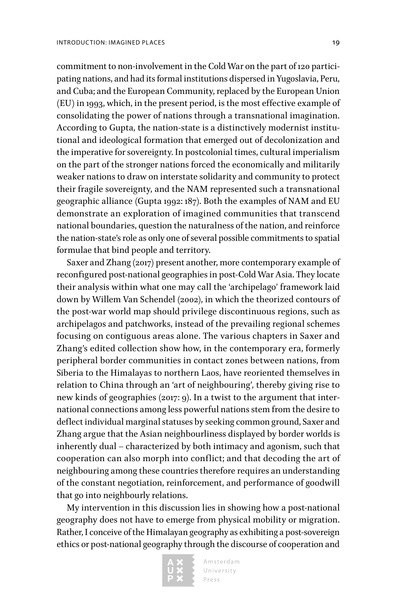commitment to non-involvement in the Cold War on the part of 120 participating nations, and had its formal institutions dispersed in Yugoslavia, Peru, and Cuba; and the European Community, replaced by the European Union (EU) in 1993, which, in the present period, is the most effective example of consolidating the power of nations through a transnational imagination. According to Gupta, the nation-state is a distinctively modernist institutional and ideological formation that emerged out of decolonization and the imperative for sovereignty. In postcolonial times, cultural imperialism on the part of the stronger nations forced the economically and militarily weaker nations to draw on interstate solidarity and community to protect their fragile sovereignty, and the NAM represented such a transnational geographic alliance (Gupta 1992: 187). Both the examples of NAM and EU demonstrate an exploration of imagined communities that transcend national boundaries, question the naturalness of the nation, and reinforce the nation-state's role as only one of several possible commitments to spatial formulae that bind people and territory.

Saxer and Zhang (2017) present another, more contemporary example of reconfigured post-national geographies in post-Cold War Asia. They locate their analysis within what one may call the 'archipelago' framework laid down by Willem Van Schendel (2002), in which the theorized contours of the post-war world map should privilege discontinuous regions, such as archipelagos and patchworks, instead of the prevailing regional schemes focusing on contiguous areas alone. The various chapters in Saxer and Zhang's edited collection show how, in the contemporary era, formerly peripheral border communities in contact zones between nations, from Siberia to the Himalayas to northern Laos, have reoriented themselves in relation to China through an 'art of neighbouring', thereby giving rise to new kinds of geographies (2017: 9). In a twist to the argument that international connections among less powerful nations stem from the desire to deflect individual marginal statuses by seeking common ground, Saxer and Zhang argue that the Asian neighbourliness displayed by border worlds is inherently dual – characterized by both intimacy and agonism, such that cooperation can also morph into conflict; and that decoding the art of neighbouring among these countries therefore requires an understanding of the constant negotiation, reinforcement, and performance of goodwill that go into neighbourly relations.

My intervention in this discussion lies in showing how a post-national geography does not have to emerge from physical mobility or migration. Rather, I conceive of the Himalayan geography as exhibiting a post-sovereign ethics or post-national geography through the discourse of cooperation and

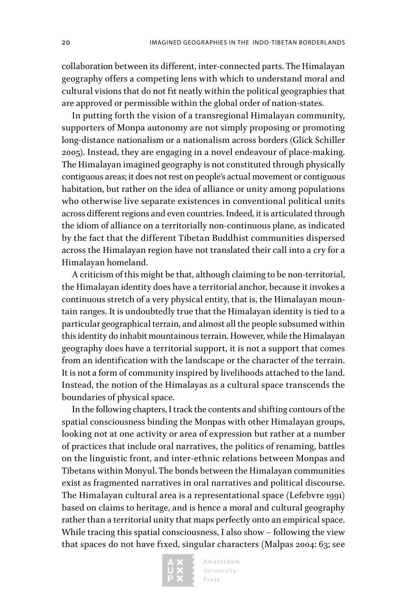collaboration between its different, inter-connected parts. The Himalayan geography offers a competing lens with which to understand moral and cultural visions that do not fit neatly within the political geographies that are approved or permissible within the global order of nation-states.

In putting forth the vision of a transregional Himalayan community, supporters of Monpa autonomy are not simply proposing or promoting long-distance nationalism or a nationalism across borders (Glick Schiller 2005). Instead, they are engaging in a novel endeavour of place-making. The Himalayan imagined geography is not constituted through physically contiguous areas; it does not rest on people's actual movement or contiguous habitation, but rather on the idea of alliance or unity among populations who otherwise live separate existences in conventional political units across different regions and even countries. Indeed, it is articulated through the idiom of alliance on a territorially non-continuous plane, as indicated by the fact that the different Tibetan Buddhist communities dispersed across the Himalayan region have not translated their call into a cry for a Himalayan homeland.

A criticism of this might be that, although claiming to be non-territorial, the Himalayan identity does have a territorial anchor, because it invokes a continuous stretch of a very physical entity, that is, the Himalayan mountain ranges. It is undoubtedly true that the Himalayan identity is tied to a particular geographical terrain, and almost all the people subsumed within this identity do inhabit mountainous terrain. However, while the Himalayan geography does have a territorial support, it is not a support that comes from an identification with the landscape or the character of the terrain. It is not a form of community inspired by livelihoods attached to the land. Instead, the notion of the Himalayas as a cultural space transcends the boundaries of physical space.

In the following chapters, I track the contents and shifting contours of the spatial consciousness binding the Monpas with other Himalayan groups, looking not at one activity or area of expression but rather at a number of practices that include oral narratives, the politics of renaming, battles on the linguistic front, and inter-ethnic relations between Monpas and Tibetans within Monyul. The bonds between the Himalayan communities exist as fragmented narratives in oral narratives and political discourse. The Himalayan cultural area is a representational space (Lefebvre 1991) based on claims to heritage, and is hence a moral and cultural geography rather than a territorial unity that maps perfectly onto an empirical space. While tracing this spatial consciousness, I also show – following the view that spaces do not have fixed, singular characters (Malpas 2004: 63; see

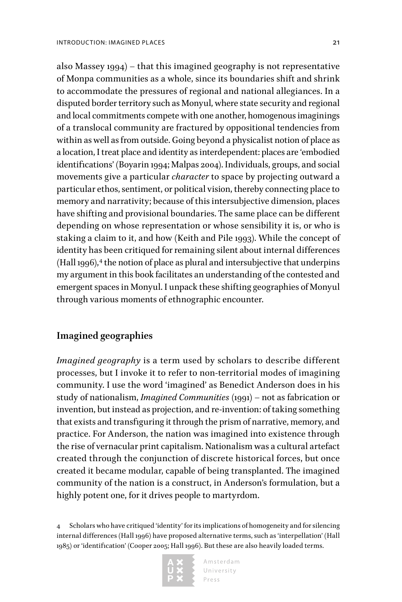<span id="page-21-0"></span>also Massey 1994) – that this imagined geography is not representative of Monpa communities as a whole, since its boundaries shift and shrink to accommodate the pressures of regional and national allegiances. In a disputed border territory such as Monyul, where state security and regional and local commitments compete with one another, homogenous imaginings of a translocal community are fractured by oppositional tendencies from within as well as from outside. Going beyond a physicalist notion of place as a location, I treat place and identity as interdependent: places are 'embodied identifications' (Boyarin 1994; Malpas 2004). Individuals, groups, and social movements give a particular *character* to space by projecting outward a particular ethos, sentiment, or political vision, thereby connecting place to memory and narrativity; because of this intersubjective dimension, places have shifting and provisional boundaries. The same place can be different depending on whose representation or whose sensibility it is, or who is staking a claim to it, and how (Keith and Pile 1993). While the concept of identity has been critiqued for remaining silent about internal differences  $(Hall 1996)$ ,<sup>4</sup> the notion of place as plural and intersubjective that underpins my argument in this book facilitates an understanding of the contested and emergent spaces in Monyul. I unpack these shifting geographies of Monyul through various moments of ethnographic encounter.

### **Imagined geographies**

*Imagined geography* is a term used by scholars to describe different processes, but I invoke it to refer to non-territorial modes of imagining community. I use the word 'imagined' as Benedict Anderson does in his study of nationalism, *Imagined Communities* (1991) – not as fabrication or invention, but instead as projection, and re-invention: of taking something that exists and transfiguring it through the prism of narrative, memory, and practice. For Anderson, the nation was imagined into existence through the rise of vernacular print capitalism. Nationalism was a cultural artefact created through the conjunction of discrete historical forces, but once created it became modular, capable of being transplanted. The imagined community of the nation is a construct, in Anderson's formulation, but a highly potent one, for it drives people to martyrdom.

4 Scholars who have critiqued 'identity' for its implications of homogeneity and for silencing internal differences (Hall 1996) have proposed alternative terms, such as 'interpellation' (Hall 1985) or 'identification' (Cooper 2005; Hall 1996). But these are also heavily loaded terms.

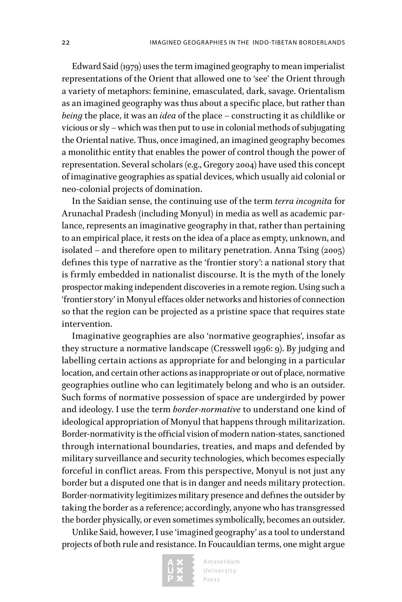Edward Said (1979) uses the term imagined geography to mean imperialist representations of the Orient that allowed one to 'see' the Orient through a variety of metaphors: feminine, emasculated, dark, savage. Orientalism as an imagined geography was thus about a specific place, but rather than *being* the place, it was an *idea* of the place – constructing it as childlike or vicious or sly – which was then put to use in colonial methods of subjugating the Oriental native. Thus, once imagined, an imagined geography becomes a monolithic entity that enables the power of control though the power of representation. Several scholars (e.g., Gregory 2004) have used this concept of imaginative geographies as spatial devices, which usually aid colonial or neo-colonial projects of domination.

In the Saidian sense, the continuing use of the term *terra incognita* for Arunachal Pradesh (including Monyul) in media as well as academic parlance, represents an imaginative geography in that, rather than pertaining to an empirical place, it rests on the idea of a place as empty, unknown, and isolated – and therefore open to military penetration. Anna Tsing (2005) defines this type of narrative as the 'frontier story': a national story that is firmly embedded in nationalist discourse. It is the myth of the lonely prospector making independent discoveries in a remote region. Using such a 'frontier story' in Monyul effaces older networks and histories of connection so that the region can be projected as a pristine space that requires state intervention.

Imaginative geographies are also 'normative geographies', insofar as they structure a normative landscape (Cresswell 1996: 9). By judging and labelling certain actions as appropriate for and belonging in a particular location, and certain other actions as inappropriate or out of place, normative geographies outline who can legitimately belong and who is an outsider. Such forms of normative possession of space are undergirded by power and ideology. I use the term *border-normative* to understand one kind of ideological appropriation of Monyul that happens through militarization. Border-normativity is the official vision of modern nation-states, sanctioned through international boundaries, treaties, and maps and defended by military surveillance and security technologies, which becomes especially forceful in conflict areas. From this perspective, Monyul is not just any border but a disputed one that is in danger and needs military protection. Border-normativity legitimizes military presence and defines the outsider by taking the border as a reference; accordingly, anyone who has transgressed the border physically, or even sometimes symbolically, becomes an outsider.

Unlike Said, however, I use 'imagined geography' as a tool to understand projects of both rule and resistance. In Foucauldian terms, one might argue

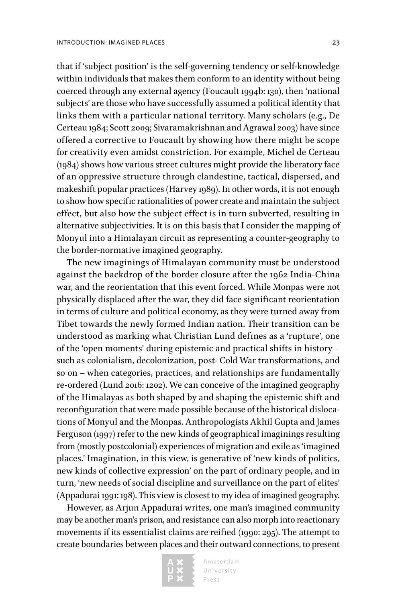that if 'subject position' is the self-governing tendency or self-knowledge within individuals that makes them conform to an identity without being coerced through any external agency (Foucault 1994b: 130), then 'national subjects' are those who have successfully assumed a political identity that links them with a particular national territory. Many scholars (e.g., De Certeau 1984; Scott 2009; Sivaramakrishnan and Agrawal 2003) have since offered a corrective to Foucault by showing how there might be scope for creativity even amidst constriction. For example, Michel de Certeau (1984) shows how various street cultures might provide the liberatory face of an oppressive structure through clandestine, tactical, dispersed, and makeshift popular practices (Harvey 1989). In other words, it is not enough to show how specific rationalities of power create and maintain the subject effect, but also how the subject effect is in turn subverted, resulting in alternative subjectivities. It is on this basis that I consider the mapping of Monyul into a Himalayan circuit as representing a counter-geography to the border-normative imagined geography.

The new imaginings of Himalayan community must be understood against the backdrop of the border closure after the 1962 India-China war, and the reorientation that this event forced. While Monpas were not physically displaced after the war, they did face significant reorientation in terms of culture and political economy, as they were turned away from Tibet towards the newly formed Indian nation. Their transition can be understood as marking what Christian Lund defines as a 'rupture', one of the 'open moments' during epistemic and practical shifts in history – such as colonialism, decolonization, post- Cold War transformations, and so on – when categories, practices, and relationships are fundamentally re-ordered (Lund 2016: 1202). We can conceive of the imagined geography of the Himalayas as both shaped by and shaping the epistemic shift and reconfiguration that were made possible because of the historical dislocations of Monyul and the Monpas. Anthropologists Akhil Gupta and James Ferguson (1997) refer to the new kinds of geographical imaginings resulting from (mostly postcolonial) experiences of migration and exile as 'imagined places.' Imagination, in this view, is generative of 'new kinds of politics, new kinds of collective expression' on the part of ordinary people, and in turn, 'new needs of social discipline and surveillance on the part of elites' (Appadurai 1991: 198). This view is closest to my idea of imagined geography.

However, as Arjun Appadurai writes, one man's imagined community may be another man's prison, and resistance can also morph into reactionary movements if its essentialist claims are reified (1990: 295). The attempt to create boundaries between places and their outward connections, to present

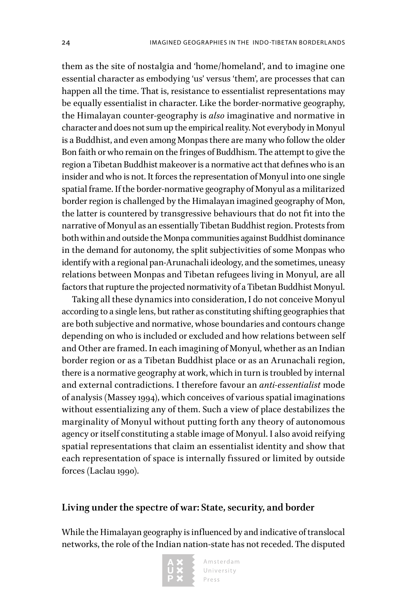<span id="page-24-0"></span>them as the site of nostalgia and 'home/homeland', and to imagine one essential character as embodying 'us' versus 'them', are processes that can happen all the time. That is, resistance to essentialist representations may be equally essentialist in character. Like the border-normative geography, the Himalayan counter-geography is *also* imaginative and normative in character and does not sum up the empirical reality. Not everybody in Monyul is a Buddhist, and even among Monpas there are many who follow the older Bon faith or who remain on the fringes of Buddhism. The attempt to give the region a Tibetan Buddhist makeover is a normative act that defines who is an insider and who is not. It forces the representation of Monyul into one single spatial frame. If the border-normative geography of Monyul as a militarized border region is challenged by the Himalayan imagined geography of Mon, the latter is countered by transgressive behaviours that do not fit into the narrative of Monyul as an essentially Tibetan Buddhist region. Protests from both within and outside the Monpa communities against Buddhist dominance in the demand for autonomy, the split subjectivities of some Monpas who identify with a regional pan-Arunachali ideology, and the sometimes, uneasy relations between Monpas and Tibetan refugees living in Monyul, are all factors that rupture the projected normativity of a Tibetan Buddhist Monyul.

Taking all these dynamics into consideration, I do not conceive Monyul according to a single lens, but rather as constituting shifting geographies that are both subjective and normative, whose boundaries and contours change depending on who is included or excluded and how relations between self and Other are framed. In each imagining of Monyul, whether as an Indian border region or as a Tibetan Buddhist place or as an Arunachali region, there is a normative geography at work, which in turn is troubled by internal and external contradictions. I therefore favour an *anti-essentialist* mode of analysis (Massey 1994), which conceives of various spatial imaginations without essentializing any of them. Such a view of place destabilizes the marginality of Monyul without putting forth any theory of autonomous agency or itself constituting a stable image of Monyul. I also avoid reifying spatial representations that claim an essentialist identity and show that each representation of space is internally fissured or limited by outside forces (Laclau 1990).

#### **Living under the spectre of war: State, security, and border**

While the Himalayan geography is influenced by and indicative of translocal networks, the role of the Indian nation-state has not receded. The disputed

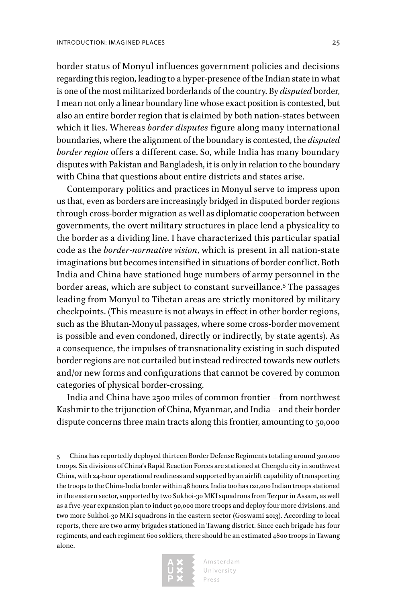border status of Monyul influences government policies and decisions regarding this region, leading to a hyper-presence of the Indian state in what is one of the most militarized borderlands of the country. By *disputed* border, I mean not only a linear boundary line whose exact position is contested, but also an entire border region that is claimed by both nation-states between which it lies. Whereas *border disputes* figure along many international boundaries, where the alignment of the boundary is contested, the *disputed border region* offers a different case. So, while India has many boundary disputes with Pakistan and Bangladesh, it is only in relation to the boundary with China that questions about entire districts and states arise.

Contemporary politics and practices in Monyul serve to impress upon us that, even as borders are increasingly bridged in disputed border regions through cross-border migration as well as diplomatic cooperation between governments, the overt military structures in place lend a physicality to the border as a dividing line. I have characterized this particular spatial code as the *border-normative vision*, which is present in all nation-state imaginations but becomes intensified in situations of border conflict. Both India and China have stationed huge numbers of army personnel in the border areas, which are subject to constant surveillance.<sup>5</sup> The passages leading from Monyul to Tibetan areas are strictly monitored by military checkpoints. (This measure is not always in effect in other border regions, such as the Bhutan-Monyul passages, where some cross-border movement is possible and even condoned, directly or indirectly, by state agents). As a consequence, the impulses of transnationality existing in such disputed border regions are not curtailed but instead redirected towards new outlets and/or new forms and configurations that cannot be covered by common categories of physical border-crossing.

India and China have 2500 miles of common frontier – from northwest Kashmir to the trijunction of China, Myanmar, and India – and their border dispute concerns three main tracts along this frontier, amounting to 50,000

5 China has reportedly deployed thirteen Border Defense Regiments totaling around 300,000 troops. Six divisions of China's Rapid Reaction Forces are stationed at Chengdu city in southwest China, with 24-hour operational readiness and supported by an airlift capability of transporting the troops to the China-India border within 48 hours. India too has 120,000 Indian troops stationed in the eastern sector, supported by two Sukhoi-30 MKI squadrons from Tezpur in Assam, as well as a five-year expansion plan to induct 90,000 more troops and deploy four more divisions, and two more Sukhoi-30 MKI squadrons in the eastern sector (Goswami 2013). According to local reports, there are two army brigades stationed in Tawang district. Since each brigade has four regiments, and each regiment 600 soldiers, there should be an estimated 4800 troops in Tawang alone.

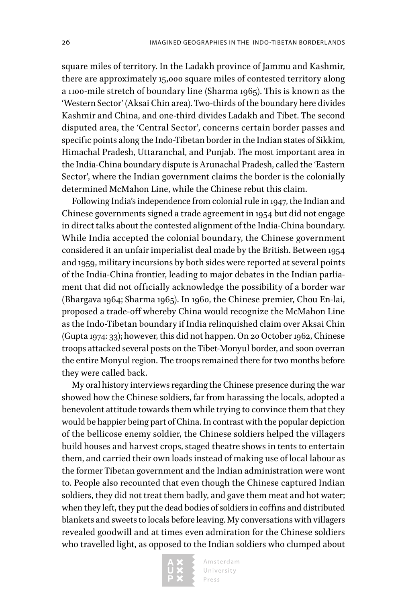square miles of territory. In the Ladakh province of Jammu and Kashmir, there are approximately 15,000 square miles of contested territory along a 1100-mile stretch of boundary line (Sharma 1965). This is known as the 'Western Sector' (Aksai Chin area). Two-thirds of the boundary here divides Kashmir and China, and one-third divides Ladakh and Tibet. The second disputed area, the 'Central Sector', concerns certain border passes and specific points along the Indo-Tibetan border in the Indian states of Sikkim, Himachal Pradesh, Uttaranchal, and Punjab. The most important area in the India-China boundary dispute is Arunachal Pradesh, called the 'Eastern Sector', where the Indian government claims the border is the colonially determined McMahon Line, while the Chinese rebut this claim.

Following India's independence from colonial rule in 1947, the Indian and Chinese governments signed a trade agreement in 1954 but did not engage in direct talks about the contested alignment of the India-China boundary. While India accepted the colonial boundary, the Chinese government considered it an unfair imperialist deal made by the British. Between 1954 and 1959, military incursions by both sides were reported at several points of the India-China frontier, leading to major debates in the Indian parliament that did not officially acknowledge the possibility of a border war (Bhargava 1964; Sharma 1965). In 1960, the Chinese premier, Chou En-lai, proposed a trade-off whereby China would recognize the McMahon Line as the Indo-Tibetan boundary if India relinquished claim over Aksai Chin (Gupta 1974: 33); however, this did not happen. On 20 October 1962, Chinese troops attacked several posts on the Tibet-Monyul border, and soon overran the entire Monyul region. The troops remained there for two months before they were called back.

My oral history interviews regarding the Chinese presence during the war showed how the Chinese soldiers, far from harassing the locals, adopted a benevolent attitude towards them while trying to convince them that they would be happier being part of China. In contrast with the popular depiction of the bellicose enemy soldier, the Chinese soldiers helped the villagers build houses and harvest crops, staged theatre shows in tents to entertain them, and carried their own loads instead of making use of local labour as the former Tibetan government and the Indian administration were wont to. People also recounted that even though the Chinese captured Indian soldiers, they did not treat them badly, and gave them meat and hot water; when they left, they put the dead bodies of soldiers in coffins and distributed blankets and sweets to locals before leaving. My conversations with villagers revealed goodwill and at times even admiration for the Chinese soldiers who travelled light, as opposed to the Indian soldiers who clumped about

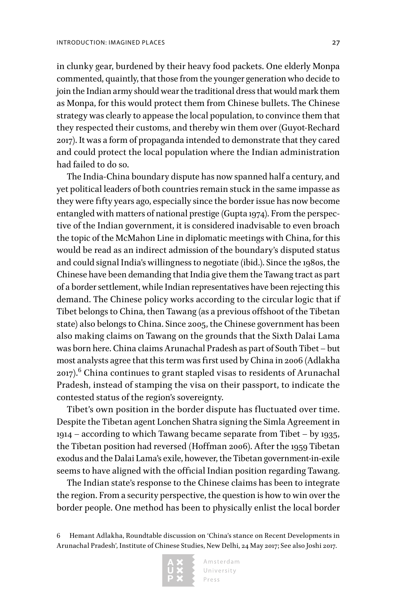in clunky gear, burdened by their heavy food packets. One elderly Monpa commented, quaintly, that those from the younger generation who decide to join the Indian army should wear the traditional dress that would mark them as Monpa, for this would protect them from Chinese bullets. The Chinese strategy was clearly to appease the local population, to convince them that they respected their customs, and thereby win them over (Guyot-Rechard 2017). It was a form of propaganda intended to demonstrate that they cared and could protect the local population where the Indian administration had failed to do so.

The India-China boundary dispute has now spanned half a century, and yet political leaders of both countries remain stuck in the same impasse as they were fifty years ago, especially since the border issue has now become entangled with matters of national prestige (Gupta 1974). From the perspective of the Indian government, it is considered inadvisable to even broach the topic of the McMahon Line in diplomatic meetings with China, for this would be read as an indirect admission of the boundary's disputed status and could signal India's willingness to negotiate (ibid.). Since the 1980s, the Chinese have been demanding that India give them the Tawang tract as part of a border settlement, while Indian representatives have been rejecting this demand. The Chinese policy works according to the circular logic that if Tibet belongs to China, then Tawang (as a previous offshoot of the Tibetan state) also belongs to China. Since 2005, the Chinese government has been also making claims on Tawang on the grounds that the Sixth Dalai Lama was born here. China claims Arunachal Pradesh as part of South Tibet – but most analysts agree that this term was first used by China in 2006 (Adlakha 2017).<sup>6</sup> China continues to grant stapled visas to residents of Arunachal Pradesh, instead of stamping the visa on their passport, to indicate the contested status of the region's sovereignty.

Tibet's own position in the border dispute has fluctuated over time. Despite the Tibetan agent Lonchen Shatra signing the Simla Agreement in 1914 – according to which Tawang became separate from Tibet – by 1935, the Tibetan position had reversed (Hoffman 2006). After the 1959 Tibetan exodus and the Dalai Lama's exile, however, the Tibetan government-in-exile seems to have aligned with the official Indian position regarding Tawang.

The Indian state's response to the Chinese claims has been to integrate the region. From a security perspective, the question is how to win over the border people. One method has been to physically enlist the local border

<sup>6</sup> Hemant Adlakha, Roundtable discussion on 'China's stance on Recent Developments in Arunachal Pradesh', Institute of Chinese Studies, New Delhi, 24 May 2017; See also Joshi 2017.

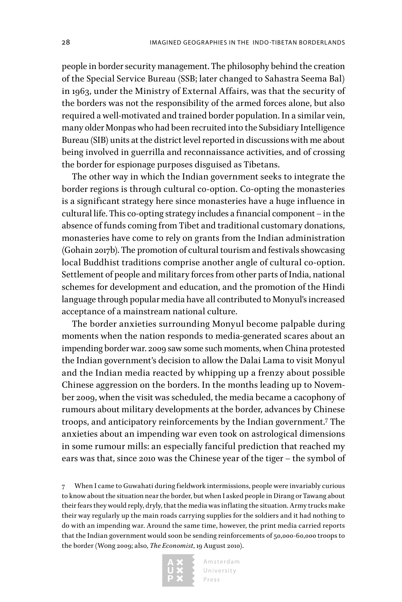people in border security management. The philosophy behind the creation of the Special Service Bureau (SSB; later changed to Sahastra Seema Bal) in 1963, under the Ministry of External Affairs, was that the security of the borders was not the responsibility of the armed forces alone, but also required a well-motivated and trained border population. In a similar vein, many older Monpas who had been recruited into the Subsidiary Intelligence Bureau (SIB) units at the district level reported in discussions with me about being involved in guerrilla and reconnaissance activities, and of crossing the border for espionage purposes disguised as Tibetans.

The other way in which the Indian government seeks to integrate the border regions is through cultural co-option. Co-opting the monasteries is a significant strategy here since monasteries have a huge influence in cultural life. This co-opting strategy includes a financial component – in the absence of funds coming from Tibet and traditional customary donations, monasteries have come to rely on grants from the Indian administration (Gohain 2017b). The promotion of cultural tourism and festivals showcasing local Buddhist traditions comprise another angle of cultural co-option. Settlement of people and military forces from other parts of India, national schemes for development and education, and the promotion of the Hindi language through popular media have all contributed to Monyul's increased acceptance of a mainstream national culture.

The border anxieties surrounding Monyul become palpable during moments when the nation responds to media-generated scares about an impending border war. 2009 saw some such moments, when China protested the Indian government's decision to allow the Dalai Lama to visit Monyul and the Indian media reacted by whipping up a frenzy about possible Chinese aggression on the borders. In the months leading up to November 2009, when the visit was scheduled, the media became a cacophony of rumours about military developments at the border, advances by Chinese troops, and anticipatory reinforcements by the Indian government.7 The anxieties about an impending war even took on astrological dimensions in some rumour mills: an especially fanciful prediction that reached my ears was that, since 2010 was the Chinese year of the tiger – the symbol of

7 When I came to Guwahati during fieldwork intermissions, people were invariably curious to know about the situation near the border, but when I asked people in Dirang or Tawang about their fears they would reply, dryly, that the media was inflating the situation. Army trucks make their way regularly up the main roads carrying supplies for the soldiers and it had nothing to do with an impending war. Around the same time, however, the print media carried reports that the Indian government would soon be sending reinforcements of 50,000-60,000 troops to the border (Wong 2009; also, *The Economist*, 19 August 2010).

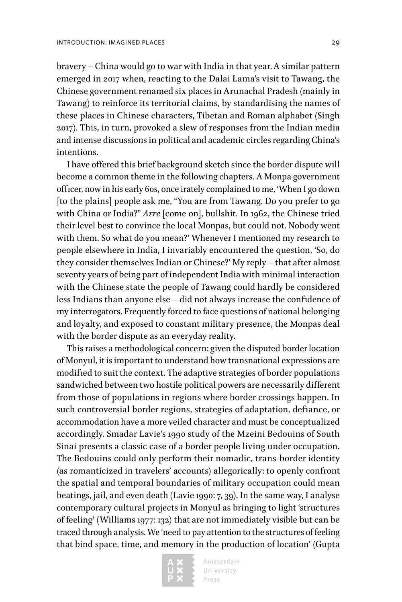bravery – China would go to war with India in that year.A similar pattern emerged in 2017 when, reacting to the Dalai Lama's visit to Tawang, the Chinese government renamed six places in Arunachal Pradesh (mainly in Tawang) to reinforce its territorial claims, by standardising the names of these places in Chinese characters, Tibetan and Roman alphabet (Singh 2017). This, in turn, provoked a slew of responses from the Indian media and intense discussions in political and academic circles regarding China's intentions.

I have offered this brief background sketch since the border dispute will become a common theme in the following chapters. A Monpa government officer, now in his early 60s, once irately complained to me, 'When I go down [to the plains] people ask me, "You are from Tawang. Do you prefer to go with China or India?" *Arre* [come on], bullshit. In 1962, the Chinese tried their level best to convince the local Monpas, but could not. Nobody went with them. So what do you mean?' Whenever I mentioned my research to people elsewhere in India, I invariably encountered the question, 'So, do they consider themselves Indian or Chinese?' My reply – that after almost seventy years of being part of independent India with minimal interaction with the Chinese state the people of Tawang could hardly be considered less Indians than anyone else – did not always increase the confidence of my interrogators. Frequently forced to face questions of national belonging and loyalty, and exposed to constant military presence, the Monpas deal with the border dispute as an everyday reality.

This raises a methodological concern: given the disputed border location of Monyul, it is important to understand how transnational expressions are modified to suit the context. The adaptive strategies of border populations sandwiched between two hostile political powers are necessarily different from those of populations in regions where border crossings happen. In such controversial border regions, strategies of adaptation, defiance, or accommodation have a more veiled character and must be conceptualized accordingly. Smadar Lavie's 1990 study of the Mzeini Bedouins of South Sinai presents a classic case of a border people living under occupation. The Bedouins could only perform their nomadic, trans-border identity (as romanticized in travelers' accounts) allegorically: to openly confront the spatial and temporal boundaries of military occupation could mean beatings, jail, and even death (Lavie 1990: 7, 39). In the same way, I analyse contemporary cultural projects in Monyul as bringing to light 'structures of feeling' (Williams 1977: 132) that are not immediately visible but can be traced through analysis. We 'need to pay attention to the structures of feeling that bind space, time, and memory in the production of location' (Gupta

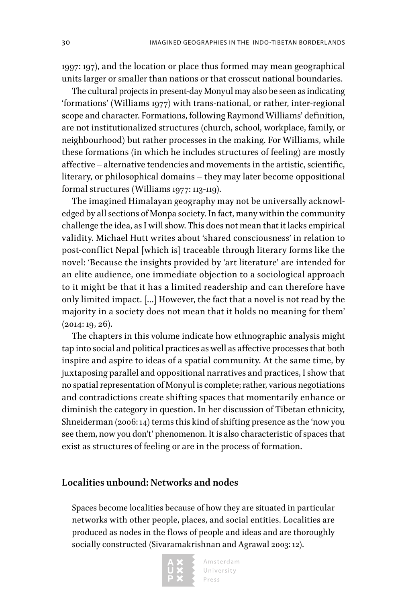<span id="page-30-0"></span>1997: 197), and the location or place thus formed may mean geographical units larger or smaller than nations or that crosscut national boundaries.

The cultural projects in present-day Monyul may also be seen as indicating 'formations' (Williams 1977) with trans-national, or rather, inter-regional scope and character. Formations, following Raymond Williams' definition, are not institutionalized structures (church, school, workplace, family, or neighbourhood) but rather processes in the making. For Williams, while these formations (in which he includes structures of feeling) are mostly affective – alternative tendencies and movements in the artistic, scientific, literary, or philosophical domains – they may later become oppositional formal structures (Williams 1977: 113-119).

The imagined Himalayan geography may not be universally acknowledged by all sections of Monpa society. In fact, many within the community challenge the idea, as I will show. This does not mean that it lacks empirical validity. Michael Hutt writes about 'shared consciousness' in relation to post-conflict Nepal [which is] traceable through literary forms like the novel: 'Because the insights provided by 'art literature' are intended for an elite audience, one immediate objection to a sociological approach to it might be that it has a limited readership and can therefore have only limited impact. […] However, the fact that a novel is not read by the majority in a society does not mean that it holds no meaning for them'  $(2014:19, 26).$ 

The chapters in this volume indicate how ethnographic analysis might tap into social and political practices as well as affective processes that both inspire and aspire to ideas of a spatial community. At the same time, by juxtaposing parallel and oppositional narratives and practices, I show that no spatial representation of Monyul is complete; rather, various negotiations and contradictions create shifting spaces that momentarily enhance or diminish the category in question. In her discussion of Tibetan ethnicity, Shneiderman (2006: 14) terms this kind of shifting presence as the 'now you see them, now you don't' phenomenon. It is also characteristic of spaces that exist as structures of feeling or are in the process of formation.

### **Localities unbound: Networks and nodes**

Spaces become localities because of how they are situated in particular networks with other people, places, and social entities. Localities are produced as nodes in the flows of people and ideas and are thoroughly socially constructed (Sivaramakrishnan and Agrawal 2003: 12).

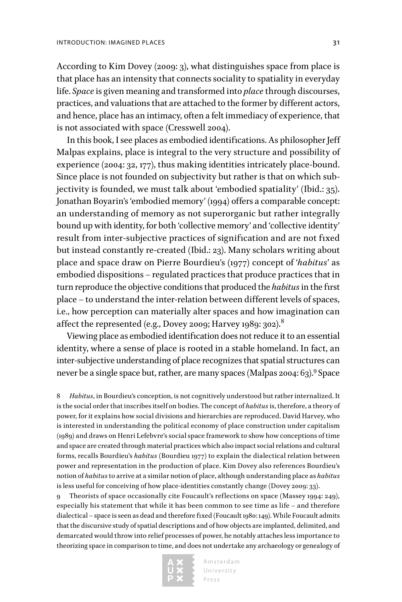According to Kim Dovey (2009: 3), what distinguishes space from place is that place has an intensity that connects sociality to spatiality in everyday life. *Space* is given meaning and transformed into *place* through discourses, practices, and valuations that are attached to the former by different actors, and hence, place has an intimacy, often a felt immediacy of experience, that is not associated with space (Cresswell 2004).

In this book, I see places as embodied identifications. As philosopher Jeff Malpas explains, place is integral to the very structure and possibility of experience (2004: 32, 177), thus making identities intricately place-bound. Since place is not founded on subjectivity but rather is that on which subjectivity is founded, we must talk about 'embodied spatiality' (Ibid.: 35). Jonathan Boyarin's 'embodied memory' (1994) offers a comparable concept: an understanding of memory as not superorganic but rather integrally bound up with identity, for both 'collective memory' and 'collective identity' result from inter-subjective practices of signification and are not fixed but instead constantly re-created (Ibid.: 23). Many scholars writing about place and space draw on Pierre Bourdieu's (1977) concept of '*habitus*' as embodied dispositions – regulated practices that produce practices that in turn reproduce the objective conditions that produced the *habitus* in the first place – to understand the inter-relation between different levels of spaces, i.e., how perception can materially alter spaces and how imagination can affect the represented (e.g., Dovey 2009; Harvey 1989: 302).<sup>8</sup>

Viewing place as embodied identification does not reduce it to an essential identity, where a sense of place is rooted in a stable homeland. In fact, an inter-subjective understanding of place recognizes that spatial structures can never be a single space but, rather, are many spaces (Malpas 2004: 63).9 Space

8 *Habitus*, in Bourdieu's conception, is not cognitively understood but rather internalized. It is the social order that inscribes itself on bodies. The concept of *habitus* is, therefore, a theory of power, for it explains how social divisions and hierarchies are reproduced. David Harvey, who is interested in understanding the political economy of place construction under capitalism (1989) and draws on Henri Lefebvre's social space framework to show how conceptions of time and space are created through material practices which also impact social relations and cultural forms, recalls Bourdieu's *habitus* (Bourdieu 1977) to explain the dialectical relation between power and representation in the production of place. Kim Dovey also references Bourdieu's notion of *habitus* to arrive at a similar notion of place, although understanding place as *habitus* is less useful for conceiving of how place-identities constantly change (Dovey 2009: 33).

9 Theorists of space occasionally cite Foucault's reflections on space (Massey 1994: 249), especially his statement that while it has been common to see time as life – and therefore dialectical – space is seen as dead and therefore fixed (Foucault 1980: 149). While Foucault admits that the discursive study of spatial descriptions and of how objects are implanted, delimited, and demarcated would throw into relief processes of power, he notably attaches less importance to theorizing space in comparison to time, and does not undertake any archaeology or genealogy of

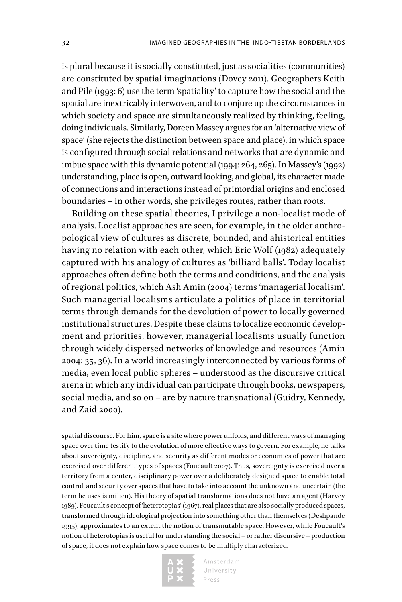is plural because it is socially constituted, just as socialities (communities) are constituted by spatial imaginations (Dovey 2011). Geographers Keith and Pile (1993: 6) use the term 'spatiality' to capture how the social and the spatial are inextricably interwoven, and to conjure up the circumstances in which society and space are simultaneously realized by thinking, feeling, doing individuals. Similarly, Doreen Massey argues for an 'alternative view of space' (she rejects the distinction between space and place), in which space is configured through social relations and networks that are dynamic and imbue space with this dynamic potential (1994: 264, 265). In Massey's (1992) understanding, place is open, outward looking, and global, its character made of connections and interactions instead of primordial origins and enclosed boundaries – in other words, she privileges routes, rather than roots.

Building on these spatial theories, I privilege a non-localist mode of analysis. Localist approaches are seen, for example, in the older anthropological view of cultures as discrete, bounded, and ahistorical entities having no relation with each other, which Eric Wolf (1982) adequately captured with his analogy of cultures as 'billiard balls'. Today localist approaches often define both the terms and conditions, and the analysis of regional politics, which Ash Amin (2004) terms 'managerial localism'. Such managerial localisms articulate a politics of place in territorial terms through demands for the devolution of power to locally governed institutional structures. Despite these claims to localize economic development and priorities, however, managerial localisms usually function through widely dispersed networks of knowledge and resources (Amin 2004: 35, 36). In a world increasingly interconnected by various forms of media, even local public spheres – understood as the discursive critical arena in which any individual can participate through books, newspapers, social media, and so on – are by nature transnational (Guidry, Kennedy, and Zaid 2000).

spatial discourse. For him, space is a site where power unfolds, and different ways of managing space over time testify to the evolution of more effective ways to govern. For example, he talks about sovereignty, discipline, and security as different modes or economies of power that are exercised over different types of spaces (Foucault 2007). Thus, sovereignty is exercised over a territory from a center, disciplinary power over a deliberately designed space to enable total control, and security over spaces that have to take into account the unknown and uncertain (the term he uses is milieu). His theory of spatial transformations does not have an agent (Harvey 1989). Foucault's concept of 'heterotopias' (1967), real places that are also socially produced spaces, transformed through ideological projection into something other than themselves (Deshpande 1995), approximates to an extent the notion of transmutable space. However, while Foucault's notion of heterotopias is useful for understanding the social – or rather discursive – production of space, it does not explain how space comes to be multiply characterized.

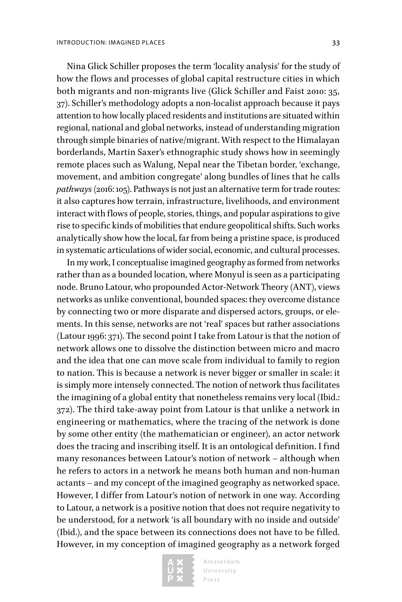Nina Glick Schiller proposes the term 'locality analysis' for the study of how the flows and processes of global capital restructure cities in which both migrants and non-migrants live (Glick Schiller and Faist 2010: 35, 37). Schiller's methodology adopts a non-localist approach because it pays attention to how locally placed residents and institutions are situated within regional, national and global networks, instead of understanding migration through simple binaries of native/migrant. With respect to the Himalayan borderlands, Martin Saxer's ethnographic study shows how in seemingly remote places such as Walung, Nepal near the Tibetan border, 'exchange, movement, and ambition congregate' along bundles of lines that he calls *pathways* (2016: 105). Pathways is not just an alternative term for trade routes: it also captures how terrain, infrastructure, livelihoods, and environment interact with flows of people, stories, things, and popular aspirations to give rise to specific kinds of mobilities that endure geopolitical shifts. Such works analytically show how the local, far from being a pristine space, is produced in systematic articulations of wider social, economic, and cultural processes.

In my work, I conceptualise imagined geography as formed from networks rather than as a bounded location, where Monyul is seen as a participating node. Bruno Latour, who propounded Actor-Network Theory (ANT), views networks as unlike conventional, bounded spaces: they overcome distance by connecting two or more disparate and dispersed actors, groups, or elements. In this sense, networks are not 'real' spaces but rather associations (Latour 1996: 371). The second point I take from Latour is that the notion of network allows one to dissolve the distinction between micro and macro and the idea that one can move scale from individual to family to region to nation. This is because a network is never bigger or smaller in scale: it is simply more intensely connected. The notion of network thus facilitates the imagining of a global entity that nonetheless remains very local (Ibid.: 372). The third take-away point from Latour is that unlike a network in engineering or mathematics, where the tracing of the network is done by some other entity (the mathematician or engineer), an actor network does the tracing and inscribing itself. It is an ontological definition. I find many resonances between Latour's notion of network – although when he refers to actors in a network he means both human and non-human actants – and my concept of the imagined geography as networked space. However, I differ from Latour's notion of network in one way. According to Latour, a network is a positive notion that does not require negativity to be understood, for a network 'is all boundary with no inside and outside' (Ibid.), and the space between its connections does not have to be filled. However, in my conception of imagined geography as a network forged

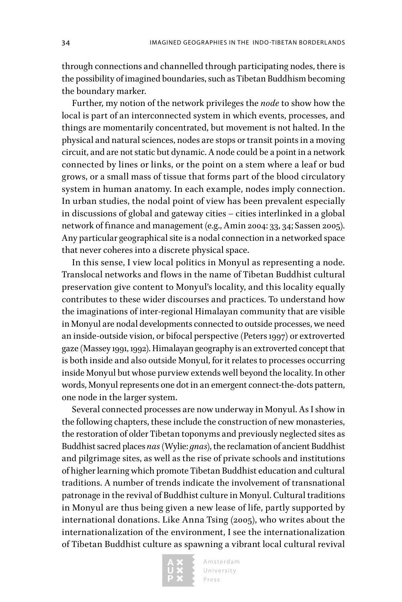through connections and channelled through participating nodes, there is the possibility of imagined boundaries, such as Tibetan Buddhism becoming the boundary marker.

Further, my notion of the network privileges the *node* to show how the local is part of an interconnected system in which events, processes, and things are momentarily concentrated, but movement is not halted. In the physical and natural sciences, nodes are stops or transit points in a moving circuit, and are not static but dynamic. A node could be a point in a network connected by lines or links, or the point on a stem where a leaf or bud grows, or a small mass of tissue that forms part of the blood circulatory system in human anatomy. In each example, nodes imply connection. In urban studies, the nodal point of view has been prevalent especially in discussions of global and gateway cities – cities interlinked in a global network of finance and management (e.g., Amin 2004: 33, 34; Sassen 2005). Any particular geographical site is a nodal connection in a networked space that never coheres into a discrete physical space.

In this sense, I view local politics in Monyul as representing a node. Translocal networks and flows in the name of Tibetan Buddhist cultural preservation give content to Monyul's locality, and this locality equally contributes to these wider discourses and practices. To understand how the imaginations of inter-regional Himalayan community that are visible in Monyul are nodal developments connected to outside processes, we need an inside-outside vision, or bifocal perspective (Peters 1997) or extroverted gaze (Massey 1991, 1992). Himalayan geography is an extroverted concept that is both inside and also outside Monyul, for it relates to processes occurring inside Monyul but whose purview extends well beyond the locality. In other words, Monyul represents one dot in an emergent connect-the-dots pattern, one node in the larger system.

Several connected processes are now underway in Monyul. As I show in the following chapters, these include the construction of new monasteries, the restoration of older Tibetan toponyms and previously neglected sites as Buddhist sacred places *nas* (Wylie: *gnas*), the reclamation of ancient Buddhist and pilgrimage sites, as well as the rise of private schools and institutions of higher learning which promote Tibetan Buddhist education and cultural traditions. A number of trends indicate the involvement of transnational patronage in the revival of Buddhist culture in Monyul. Cultural traditions in Monyul are thus being given a new lease of life, partly supported by international donations. Like Anna Tsing (2005), who writes about the internationalization of the environment, I see the internationalization of Tibetan Buddhist culture as spawning a vibrant local cultural revival

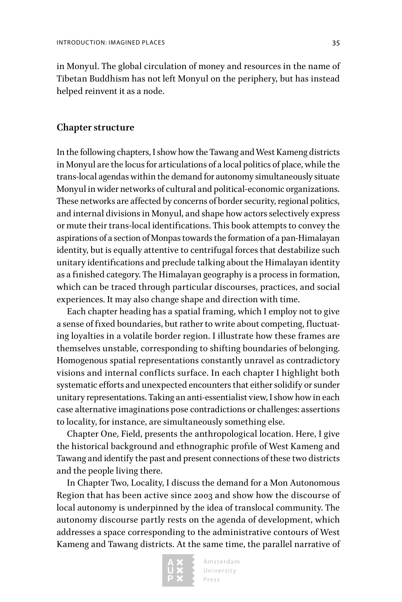<span id="page-35-0"></span>in Monyul. The global circulation of money and resources in the name of Tibetan Buddhism has not left Monyul on the periphery, but has instead helped reinvent it as a node.

#### **Chapter structure**

In the following chapters, I show how the Tawang and West Kameng districts in Monyul are the locus for articulations of a local politics of place, while the trans-local agendas within the demand for autonomy simultaneously situate Monyul in wider networks of cultural and political-economic organizations. These networks are affected by concerns of border security, regional politics, and internal divisions in Monyul, and shape how actors selectively express or mute their trans-local identifications. This book attempts to convey the aspirations of a section of Monpas towards the formation of a pan-Himalayan identity, but is equally attentive to centrifugal forces that destabilize such unitary identifications and preclude talking about the Himalayan identity as a finished category. The Himalayan geography is a process in formation, which can be traced through particular discourses, practices, and social experiences. It may also change shape and direction with time.

Each chapter heading has a spatial framing, which I employ not to give a sense of fixed boundaries, but rather to write about competing, fluctuating loyalties in a volatile border region. I illustrate how these frames are themselves unstable, corresponding to shifting boundaries of belonging. Homogenous spatial representations constantly unravel as contradictory visions and internal conflicts surface. In each chapter I highlight both systematic efforts and unexpected encounters that either solidify or sunder unitary representations. Taking an anti-essentialist view, I show how in each case alternative imaginations pose contradictions or challenges: assertions to locality, for instance, are simultaneously something else.

Chapter One, Field, presents the anthropological location. Here, I give the historical background and ethnographic profile of West Kameng and Tawang and identify the past and present connections of these two districts and the people living there.

In Chapter Two, Locality, I discuss the demand for a Mon Autonomous Region that has been active since 2003 and show how the discourse of local autonomy is underpinned by the idea of translocal community. The autonomy discourse partly rests on the agenda of development, which addresses a space corresponding to the administrative contours of West Kameng and Tawang districts. At the same time, the parallel narrative of

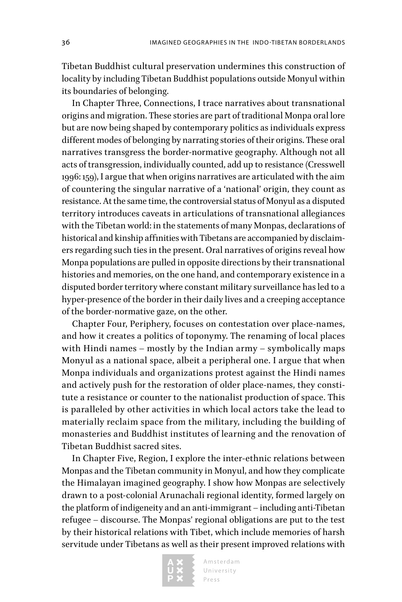Tibetan Buddhist cultural preservation undermines this construction of locality by including Tibetan Buddhist populations outside Monyul within its boundaries of belonging.

In Chapter Three, Connections, I trace narratives about transnational origins and migration. These stories are part of traditional Monpa oral lore but are now being shaped by contemporary politics as individuals express different modes of belonging by narrating stories of their origins. These oral narratives transgress the border-normative geography. Although not all acts of transgression, individually counted, add up to resistance (Cresswell 1996: 159), I argue that when origins narratives are articulated with the aim of countering the singular narrative of a 'national' origin, they count as resistance. At the same time, the controversial status of Monyul as a disputed territory introduces caveats in articulations of transnational allegiances with the Tibetan world: in the statements of many Monpas, declarations of historical and kinship affinities with Tibetans are accompanied by disclaimers regarding such ties in the present. Oral narratives of origins reveal how Monpa populations are pulled in opposite directions by their transnational histories and memories, on the one hand, and contemporary existence in a disputed border territory where constant military surveillance has led to a hyper-presence of the border in their daily lives and a creeping acceptance of the border-normative gaze, on the other.

Chapter Four, Periphery, focuses on contestation over place-names, and how it creates a politics of toponymy. The renaming of local places with Hindi names – mostly by the Indian army – symbolically maps Monyul as a national space, albeit a peripheral one. I argue that when Monpa individuals and organizations protest against the Hindi names and actively push for the restoration of older place-names, they constitute a resistance or counter to the nationalist production of space. This is paralleled by other activities in which local actors take the lead to materially reclaim space from the military, including the building of monasteries and Buddhist institutes of learning and the renovation of Tibetan Buddhist sacred sites.

In Chapter Five, Region, I explore the inter-ethnic relations between Monpas and the Tibetan community in Monyul, and how they complicate the Himalayan imagined geography. I show how Monpas are selectively drawn to a post-colonial Arunachali regional identity, formed largely on the platform of indigeneity and an anti-immigrant – including anti-Tibetan refugee – discourse. The Monpas' regional obligations are put to the test by their historical relations with Tibet, which include memories of harsh servitude under Tibetans as well as their present improved relations with

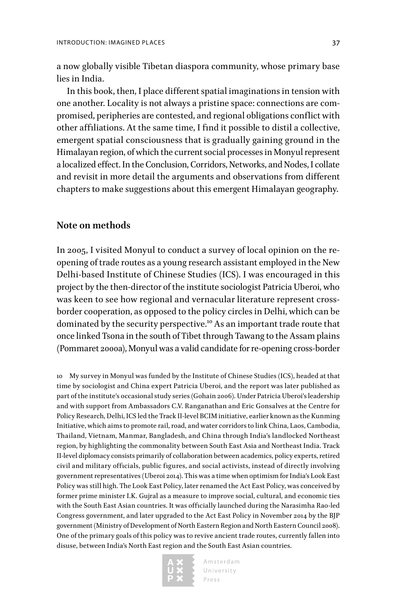<span id="page-37-0"></span>a now globally visible Tibetan diaspora community, whose primary base lies in India.

In this book, then, I place different spatial imaginations in tension with one another. Locality is not always a pristine space: connections are compromised, peripheries are contested, and regional obligations conflict with other affiliations. At the same time, I find it possible to distil a collective, emergent spatial consciousness that is gradually gaining ground in the Himalayan region, of which the current social processes in Monyul represent a localized effect. In the Conclusion, Corridors, Networks, and Nodes, I collate and revisit in more detail the arguments and observations from different chapters to make suggestions about this emergent Himalayan geography.

### **Note on methods**

In 2005, I visited Monyul to conduct a survey of local opinion on the reopening of trade routes as a young research assistant employed in the New Delhi-based Institute of Chinese Studies (ICS). I was encouraged in this project by the then-director of the institute sociologist Patricia Uberoi, who was keen to see how regional and vernacular literature represent crossborder cooperation, as opposed to the policy circles in Delhi, which can be dominated by the security perspective.10 As an important trade route that once linked Tsona in the south of Tibet through Tawang to the Assam plains (Pommaret 2000a), Monyul was a valid candidate for re-opening cross-border

10 My survey in Monyul was funded by the Institute of Chinese Studies (ICS), headed at that time by sociologist and China expert Patricia Uberoi, and the report was later published as part of the institute's occasional study series (Gohain 2006). Under Patricia Uberoi's leadership and with support from Ambassadors C.V. Ranganathan and Eric Gonsalves at the Centre for Policy Research, Delhi, ICS led the Track II-level BCIM initiative, earlier known as the Kunming Initiative, which aims to promote rail, road, and water corridors to link China, Laos, Cambodia, Thailand, Vietnam, Manmar, Bangladesh, and China through India's landlocked Northeast region, by highlighting the commonality between South East Asia and Northeast India. Track II-level diplomacy consists primarily of collaboration between academics, policy experts, retired civil and military officials, public figures, and social activists, instead of directly involving government representatives (Uberoi 2014). This was a time when optimism for India's Look East Policy was still high. The Look East Policy, later renamed the Act East Policy, was conceived by former prime minister I.K. Gujral as a measure to improve social, cultural, and economic ties with the South East Asian countries. It was officially launched during the Narasimha Rao-led Congress government, and later upgraded to the Act East Policy in November 2014 by the BJP government (Ministry of Development of North Eastern Region and North Eastern Council 2008). One of the primary goals of this policy was to revive ancient trade routes, currently fallen into disuse, between India's North East region and the South East Asian countries.

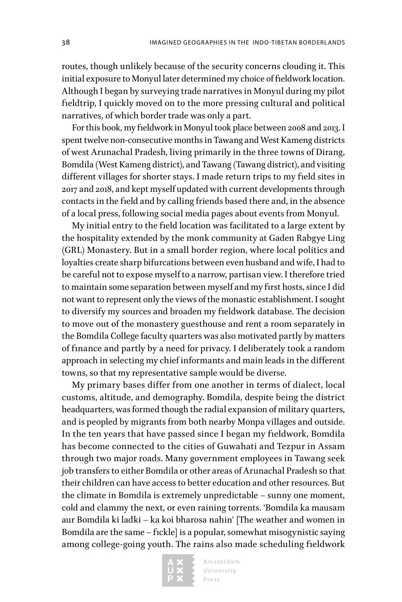routes, though unlikely because of the security concerns clouding it. This initial exposure to Monyul later determined my choice of fieldwork location. Although I began by surveying trade narratives in Monyul during my pilot fieldtrip, I quickly moved on to the more pressing cultural and political narratives, of which border trade was only a part.

For this book, my fieldwork in Monyul took place between 2008 and 2013. I spent twelve non-consecutive months in Tawang and West Kameng districts of west Arunachal Pradesh, living primarily in the three towns of Dirang, Bomdila (West Kameng district), and Tawang (Tawang district), and visiting different villages for shorter stays. I made return trips to my field sites in 2017 and 2018, and kept myself updated with current developments through contacts in the field and by calling friends based there and, in the absence of a local press, following social media pages about events from Monyul.

My initial entry to the field location was facilitated to a large extent by the hospitality extended by the monk community at Gaden Rabgye Ling (GRL) Monastery. But in a small border region, where local politics and loyalties create sharp bifurcations between even husband and wife, I had to be careful not to expose myself to a narrow, partisan view. I therefore tried to maintain some separation between myself and my first hosts, since I did not want to represent only the views of the monastic establishment. I sought to diversify my sources and broaden my fieldwork database. The decision to move out of the monastery guesthouse and rent a room separately in the Bomdila College faculty quarters was also motivated partly by matters of finance and partly by a need for privacy. I deliberately took a random approach in selecting my chief informants and main leads in the different towns, so that my representative sample would be diverse.

My primary bases differ from one another in terms of dialect, local customs, altitude, and demography. Bomdila, despite being the district headquarters, was formed though the radial expansion of military quarters, and is peopled by migrants from both nearby Monpa villages and outside. In the ten years that have passed since I began my fieldwork, Bomdila has become connected to the cities of Guwahati and Tezpur in Assam through two major roads. Many government employees in Tawang seek job transfers to either Bomdila or other areas of Arunachal Pradesh so that their children can have access to better education and other resources. But the climate in Bomdila is extremely unpredictable – sunny one moment, cold and clammy the next, or even raining torrents. 'Bomdila ka mausam aur Bomdila ki ladki – ka koi bharosa nahin' [The weather and women in Bomdila are the same – fickle] is a popular, somewhat misogynistic saying among college-going youth. The rains also made scheduling fieldwork

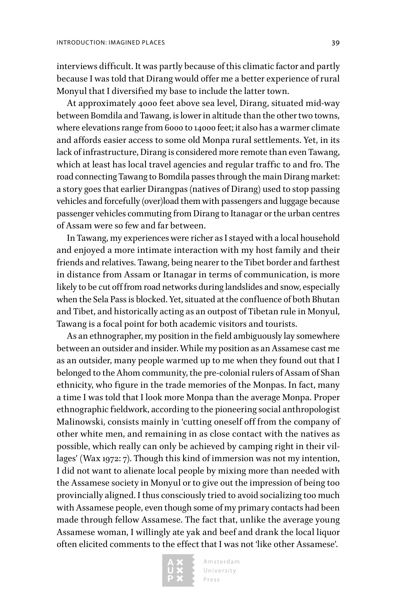interviews difficult. It was partly because of this climatic factor and partly because I was told that Dirang would offer me a better experience of rural Monyul that I diversified my base to include the latter town.

At approximately 4000 feet above sea level, Dirang, situated mid-way between Bomdila and Tawang, is lower in altitude than the other two towns, where elevations range from 6000 to 14000 feet; it also has a warmer climate and affords easier access to some old Monpa rural settlements. Yet, in its lack of infrastructure, Dirang is considered more remote than even Tawang, which at least has local travel agencies and regular traffic to and fro. The road connecting Tawang to Bomdila passes through the main Dirang market: a story goes that earlier Dirangpas (natives of Dirang) used to stop passing vehicles and forcefully (over)load them with passengers and luggage because passenger vehicles commuting from Dirang to Itanagar or the urban centres of Assam were so few and far between.

In Tawang, my experiences were richer as I stayed with a local household and enjoyed a more intimate interaction with my host family and their friends and relatives. Tawang, being nearer to the Tibet border and farthest in distance from Assam or Itanagar in terms of communication, is more likely to be cut off from road networks during landslides and snow, especially when the Sela Pass is blocked. Yet, situated at the confluence of both Bhutan and Tibet, and historically acting as an outpost of Tibetan rule in Monyul, Tawang is a focal point for both academic visitors and tourists.

As an ethnographer, my position in the field ambiguously lay somewhere between an outsider and insider. While my position as an Assamese cast me as an outsider, many people warmed up to me when they found out that I belonged to the Ahom community, the pre-colonial rulers of Assam of Shan ethnicity, who figure in the trade memories of the Monpas. In fact, many a time I was told that I look more Monpa than the average Monpa. Proper ethnographic fieldwork, according to the pioneering social anthropologist Malinowski, consists mainly in 'cutting oneself off from the company of other white men, and remaining in as close contact with the natives as possible, which really can only be achieved by camping right in their villages' (Wax 1972: 7). Though this kind of immersion was not my intention, I did not want to alienate local people by mixing more than needed with the Assamese society in Monyul or to give out the impression of being too provincially aligned. I thus consciously tried to avoid socializing too much with Assamese people, even though some of my primary contacts had been made through fellow Assamese. The fact that, unlike the average young Assamese woman, I willingly ate yak and beef and drank the local liquor often elicited comments to the effect that I was not 'like other Assamese'.

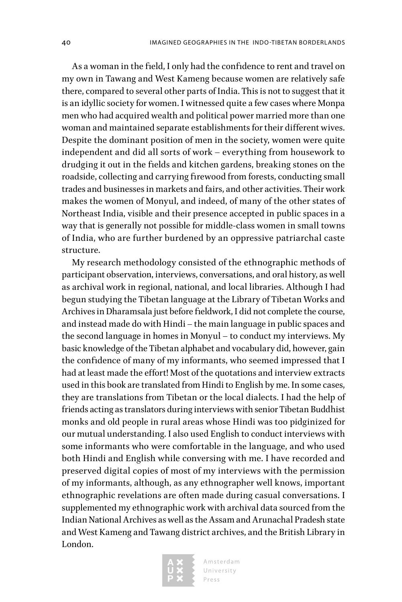As a woman in the field, I only had the confidence to rent and travel on my own in Tawang and West Kameng because women are relatively safe there, compared to several other parts of India. This is not to suggest that it is an idyllic society for women. I witnessed quite a few cases where Monpa men who had acquired wealth and political power married more than one woman and maintained separate establishments for their different wives. Despite the dominant position of men in the society, women were quite independent and did all sorts of work – everything from housework to drudging it out in the fields and kitchen gardens, breaking stones on the roadside, collecting and carrying firewood from forests, conducting small trades and businesses in markets and fairs, and other activities. Their work makes the women of Monyul, and indeed, of many of the other states of Northeast India, visible and their presence accepted in public spaces in a way that is generally not possible for middle-class women in small towns of India, who are further burdened by an oppressive patriarchal caste structure.

My research methodology consisted of the ethnographic methods of participant observation, interviews, conversations, and oral history, as well as archival work in regional, national, and local libraries. Although I had begun studying the Tibetan language at the Library of Tibetan Works and Archives in Dharamsala just before fieldwork, I did not complete the course, and instead made do with Hindi – the main language in public spaces and the second language in homes in Monyul – to conduct my interviews. My basic knowledge of the Tibetan alphabet and vocabulary did, however, gain the confidence of many of my informants, who seemed impressed that I had at least made the effort! Most of the quotations and interview extracts used in this book are translated from Hindi to English by me. In some cases, they are translations from Tibetan or the local dialects. I had the help of friends acting as translators during interviews with senior Tibetan Buddhist monks and old people in rural areas whose Hindi was too pidginized for our mutual understanding. I also used English to conduct interviews with some informants who were comfortable in the language, and who used both Hindi and English while conversing with me. I have recorded and preserved digital copies of most of my interviews with the permission of my informants, although, as any ethnographer well knows, important ethnographic revelations are often made during casual conversations. I supplemented my ethnographic work with archival data sourced from the Indian National Archives as well as the Assam and Arunachal Pradesh state and West Kameng and Tawang district archives, and the British Library in London.

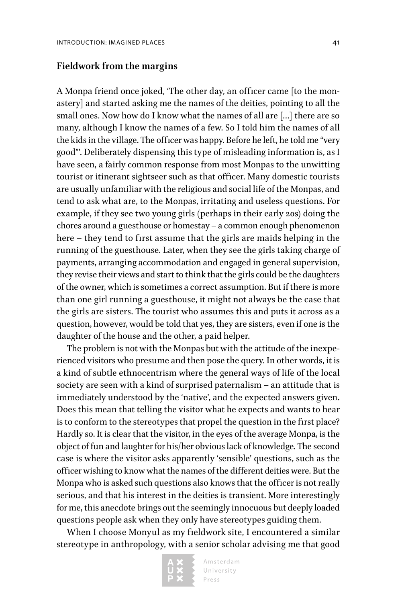#### <span id="page-41-0"></span>**Fieldwork from the margins**

A Monpa friend once joked, 'The other day, an officer came [to the monastery] and started asking me the names of the deities, pointing to all the small ones. Now how do I know what the names of all are […] there are so many, although I know the names of a few. So I told him the names of all the kids in the village. The officer was happy. Before he left, he told me "very good"'. Deliberately dispensing this type of misleading information is, as I have seen, a fairly common response from most Monpas to the unwitting tourist or itinerant sightseer such as that officer. Many domestic tourists are usually unfamiliar with the religious and social life of the Monpas, and tend to ask what are, to the Monpas, irritating and useless questions. For example, if they see two young girls (perhaps in their early 20s) doing the chores around a guesthouse or homestay – a common enough phenomenon here – they tend to first assume that the girls are maids helping in the running of the guesthouse. Later, when they see the girls taking charge of payments, arranging accommodation and engaged in general supervision, they revise their views and start to think that the girls could be the daughters of the owner, which is sometimes a correct assumption. But if there is more than one girl running a guesthouse, it might not always be the case that the girls are sisters. The tourist who assumes this and puts it across as a question, however, would be told that yes, they are sisters, even if one is the daughter of the house and the other, a paid helper.

The problem is not with the Monpas but with the attitude of the inexperienced visitors who presume and then pose the query. In other words, it is a kind of subtle ethnocentrism where the general ways of life of the local society are seen with a kind of surprised paternalism – an attitude that is immediately understood by the 'native', and the expected answers given. Does this mean that telling the visitor what he expects and wants to hear is to conform to the stereotypes that propel the question in the first place? Hardly so. It is clear that the visitor, in the eyes of the average Monpa, is the object of fun and laughter for his/her obvious lack of knowledge. The second case is where the visitor asks apparently 'sensible' questions, such as the officer wishing to know what the names of the different deities were. But the Monpa who is asked such questions also knows that the officer is not really serious, and that his interest in the deities is transient. More interestingly for me, this anecdote brings out the seemingly innocuous but deeply loaded questions people ask when they only have stereotypes guiding them.

When I choose Monyul as my fieldwork site, I encountered a similar stereotype in anthropology, with a senior scholar advising me that good

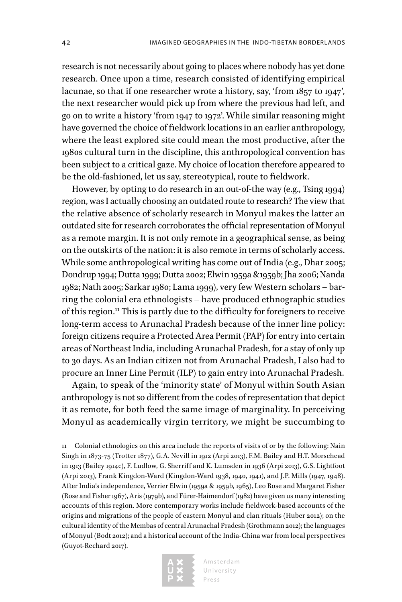research is not necessarily about going to places where nobody has yet done research. Once upon a time, research consisted of identifying empirical lacunae, so that if one researcher wrote a history, say, 'from 1857 to 1947', the next researcher would pick up from where the previous had left, and go on to write a history 'from 1947 to 1972'. While similar reasoning might have governed the choice of fieldwork locations in an earlier anthropology, where the least explored site could mean the most productive, after the 1980s cultural turn in the discipline, this anthropological convention has been subject to a critical gaze. My choice of location therefore appeared to be the old-fashioned, let us say, stereotypical, route to fieldwork.

However, by opting to do research in an out-of-the way (e.g., Tsing 1994) region, was I actually choosing an outdated route to research? The view that the relative absence of scholarly research in Monyul makes the latter an outdated site for research corroborates the official representation of Monyul as a remote margin. It is not only remote in a geographical sense, as being on the outskirts of the nation: it is also remote in terms of scholarly access. While some anthropological writing has come out of India (e.g., Dhar 2005; Dondrup 1994; Dutta 1999; Dutta 2002; Elwin 1959a &1959b; Jha 2006; Nanda 1982; Nath 2005; Sarkar 1980; Lama 1999), very few Western scholars – barring the colonial era ethnologists – have produced ethnographic studies of this region.<sup>11</sup> This is partly due to the difficulty for foreigners to receive long-term access to Arunachal Pradesh because of the inner line policy: foreign citizens require a Protected Area Permit (PAP) for entry into certain areas of Northeast India, including Arunachal Pradesh, for a stay of only up to 30 days. As an Indian citizen not from Arunachal Pradesh, I also had to procure an Inner Line Permit (ILP) to gain entry into Arunachal Pradesh.

Again, to speak of the 'minority state' of Monyul within South Asian anthropology is not so different from the codes of representation that depict it as remote, for both feed the same image of marginality. In perceiving Monyul as academically virgin territory, we might be succumbing to

11 Colonial ethnologies on this area include the reports of visits of or by the following: Nain Singh in 1873-75 (Trotter 1877), G.A. Nevill in 1912 (Arpi 2013), F.M. Bailey and H.T. Morsehead in 1913 (Bailey 1914c), F. Ludlow, G. Sherriff and K. Lumsden in 1936 (Arpi 2013), G.S. Lightfoot (Arpi 2013), Frank Kingdon-Ward (Kingdon-Ward 1938, 1940, 1941), and J.P. Mills (1947, 1948). After India's independence, Verrier Elwin (1959a & 1959b, 1965), Leo Rose and Margaret Fisher (Rose and Fisher 1967), Aris (1979b), and Fürer-Haimendorf (1982) have given us many interesting accounts of this region. More contemporary works include fieldwork-based accounts of the origins and migrations of the people of eastern Monyul and clan rituals (Huber 2012); on the cultural identity of the Membas of central Arunachal Pradesh (Grothmann 2012); the languages of Monyul (Bodt 2012); and a historical account of the India-China war from local perspectives (Guyot-Rechard 2017).

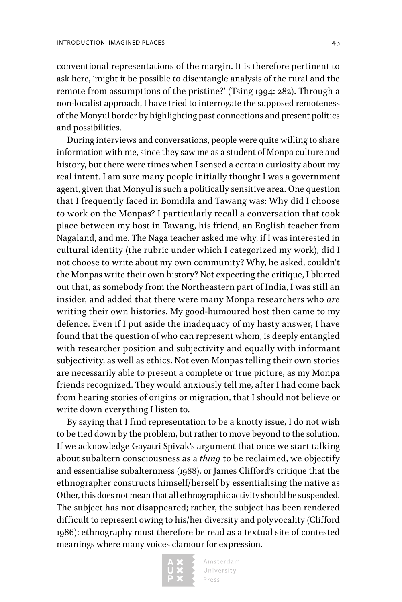conventional representations of the margin. It is therefore pertinent to ask here, 'might it be possible to disentangle analysis of the rural and the remote from assumptions of the pristine?' (Tsing 1994: 282). Through a non-localist approach, I have tried to interrogate the supposed remoteness of the Monyul border by highlighting past connections and present politics and possibilities.

During interviews and conversations, people were quite willing to share information with me, since they saw me as a student of Monpa culture and history, but there were times when I sensed a certain curiosity about my real intent. I am sure many people initially thought I was a government agent, given that Monyul is such a politically sensitive area. One question that I frequently faced in Bomdila and Tawang was: Why did I choose to work on the Monpas? I particularly recall a conversation that took place between my host in Tawang, his friend, an English teacher from Nagaland, and me. The Naga teacher asked me why, if I was interested in cultural identity (the rubric under which I categorized my work), did I not choose to write about my own community? Why, he asked, couldn't the Monpas write their own history? Not expecting the critique, I blurted out that, as somebody from the Northeastern part of India, I was still an insider, and added that there were many Monpa researchers who *are*  writing their own histories. My good-humoured host then came to my defence. Even if I put aside the inadequacy of my hasty answer, I have found that the question of who can represent whom, is deeply entangled with researcher position and subjectivity and equally with informant subjectivity, as well as ethics. Not even Monpas telling their own stories are necessarily able to present a complete or true picture, as my Monpa friends recognized. They would anxiously tell me, after I had come back from hearing stories of origins or migration, that I should not believe or write down everything I listen to.

By saying that I find representation to be a knotty issue, I do not wish to be tied down by the problem, but rather to move beyond to the solution. If we acknowledge Gayatri Spivak's argument that once we start talking about subaltern consciousness as a *thing* to be reclaimed, we objectify and essentialise subalternness (1988), or James Clifford's critique that the ethnographer constructs himself/herself by essentialising the native as Other, this does not mean that all ethnographic activity should be suspended. The subject has not disappeared; rather, the subject has been rendered difficult to represent owing to his/her diversity and polyvocality (Clifford 1986); ethnography must therefore be read as a textual site of contested meanings where many voices clamour for expression.